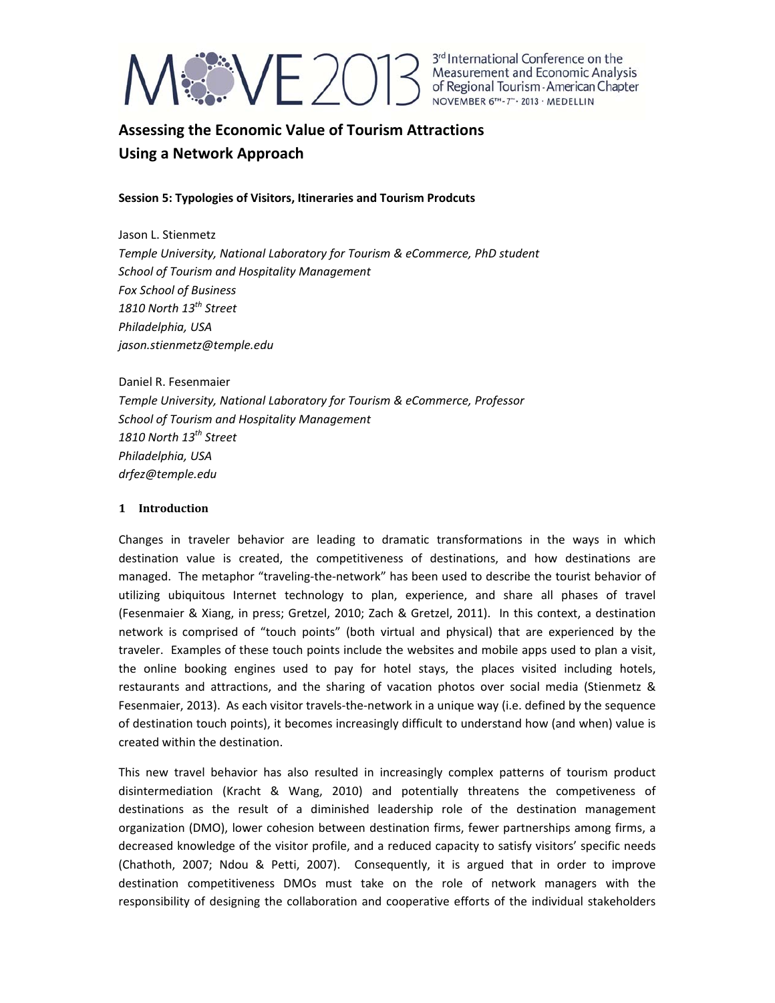

### **Assessing the Economic Value of Tourism Attractions Using a Network Approach**

### **Session 5: Typologies of Visitors, Itineraries and Tourism Prodcuts**

Jason L. Stienmetz *Temple University, National Laboratory for Tourism & eCommerce, PhD student School of Tourism and Hospitality Management Fox School of Business 1810 North 13th Street Philadelphia, USA jason.stienmetz@temple.edu*

Daniel R. Fesenmaier *Temple University, National Laboratory for Tourism & eCommerce, Professor School of Tourism and Hospitality Management 1810 North 13th Street Philadelphia, USA drfez@temple.edu*

### **1 Introduction**

Changes in traveler behavior are leading to dramatic transformations in the ways in which destination value is created, the competitiveness of destinations, and how destinations are managed. The metaphor "traveling‐the‐network" has been used to describe the tourist behavior of utilizing ubiquitous Internet technology to plan, experience, and share all phases of travel (Fesenmaier & Xiang, in press; Gretzel, 2010; Zach & Gretzel, 2011). In this context, a destination network is comprised of "touch points" (both virtual and physical) that are experienced by the traveler. Examples of these touch points include the websites and mobile apps used to plan a visit, the online booking engines used to pay for hotel stays, the places visited including hotels, restaurants and attractions, and the sharing of vacation photos over social media (Stienmetz & Fesenmaier, 2013). As each visitor travels‐the‐network in a unique way (i.e. defined by the sequence of destination touch points), it becomes increasingly difficult to understand how (and when) value is created within the destination.

This new travel behavior has also resulted in increasingly complex patterns of tourism product disintermediation (Kracht & Wang, 2010) and potentially threatens the competiveness of destinations as the result of a diminished leadership role of the destination management organization (DMO), lower cohesion between destination firms, fewer partnerships among firms, a decreased knowledge of the visitor profile, and a reduced capacity to satisfy visitors' specific needs (Chathoth, 2007; Ndou & Petti, 2007). Consequently, it is argued that in order to improve destination competitiveness DMOs must take on the role of network managers with the responsibility of designing the collaboration and cooperative efforts of the individual stakeholders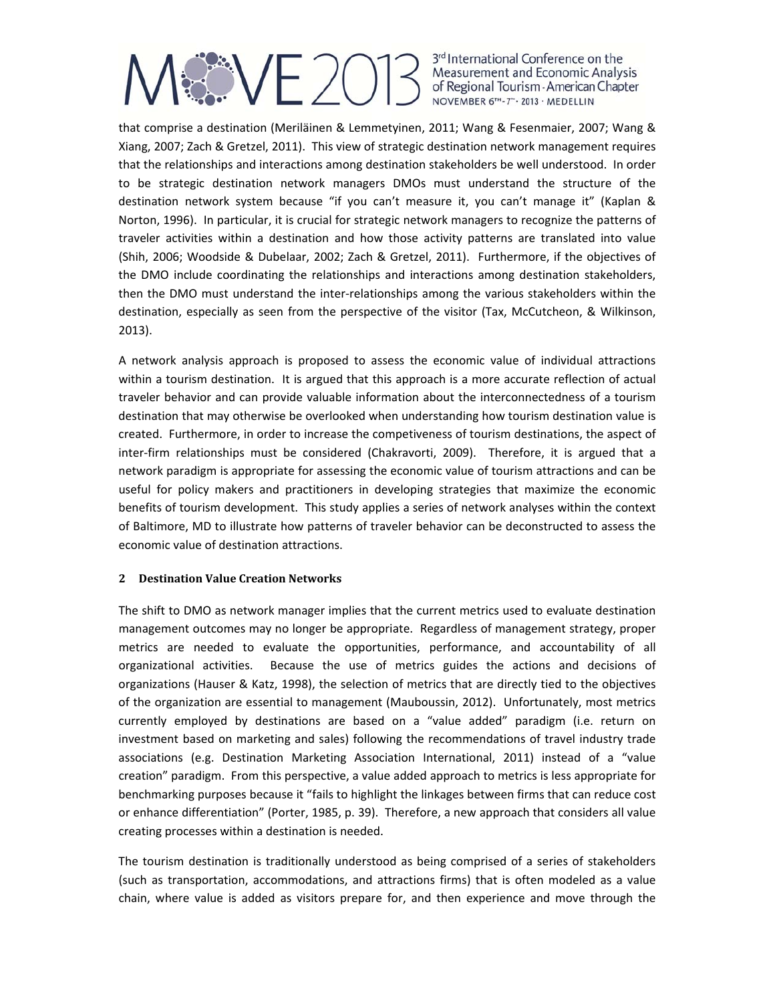that comprise a destination (Meriläinen & Lemmetyinen, 2011; Wang & Fesenmaier, 2007; Wang & Xiang, 2007; Zach & Gretzel, 2011). This view of strategic destination network management requires that the relationships and interactions among destination stakeholders be well understood. In order to be strategic destination network managers DMOs must understand the structure of the destination network system because "if you can't measure it, you can't manage it" (Kaplan & Norton, 1996). In particular, it is crucial for strategic network managers to recognize the patterns of traveler activities within a destination and how those activity patterns are translated into value (Shih, 2006; Woodside & Dubelaar, 2002; Zach & Gretzel, 2011). Furthermore, if the objectives of the DMO include coordinating the relationships and interactions among destination stakeholders, then the DMO must understand the inter‐relationships among the various stakeholders within the destination, especially as seen from the perspective of the visitor (Tax, McCutcheon, & Wilkinson, 2013).

A network analysis approach is proposed to assess the economic value of individual attractions within a tourism destination. It is argued that this approach is a more accurate reflection of actual traveler behavior and can provide valuable information about the interconnectedness of a tourism destination that may otherwise be overlooked when understanding how tourism destination value is created. Furthermore, in order to increase the competiveness of tourism destinations, the aspect of inter-firm relationships must be considered (Chakravorti, 2009). Therefore, it is argued that a network paradigm is appropriate for assessing the economic value of tourism attractions and can be useful for policy makers and practitioners in developing strategies that maximize the economic benefits of tourism development. This study applies a series of network analyses within the context of Baltimore, MD to illustrate how patterns of traveler behavior can be deconstructed to assess the economic value of destination attractions.

### **2 Destination Value Creation Networks**

The shift to DMO as network manager implies that the current metrics used to evaluate destination management outcomes may no longer be appropriate. Regardless of management strategy, proper metrics are needed to evaluate the opportunities, performance, and accountability of all organizational activities. Because the use of metrics guides the actions and decisions of organizations (Hauser & Katz, 1998), the selection of metrics that are directly tied to the objectives of the organization are essential to management (Mauboussin, 2012). Unfortunately, most metrics currently employed by destinations are based on a "value added" paradigm (i.e. return on investment based on marketing and sales) following the recommendations of travel industry trade associations (e.g. Destination Marketing Association International, 2011) instead of a "value creation" paradigm. From this perspective, a value added approach to metrics is less appropriate for benchmarking purposes because it "fails to highlight the linkages between firms that can reduce cost or enhance differentiation" (Porter, 1985, p. 39). Therefore, a new approach that considers all value creating processes within a destination is needed.

The tourism destination is traditionally understood as being comprised of a series of stakeholders (such as transportation, accommodations, and attractions firms) that is often modeled as a value chain, where value is added as visitors prepare for, and then experience and move through the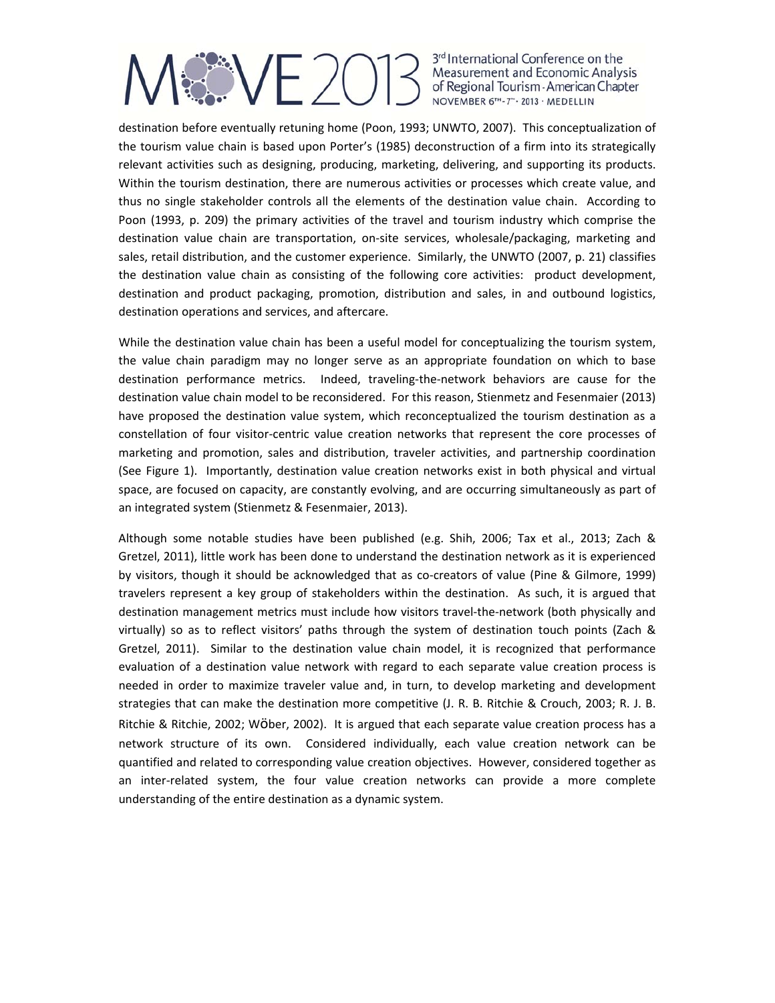destination before eventually retuning home (Poon, 1993; UNWTO, 2007). This conceptualization of the tourism value chain is based upon Porter's (1985) deconstruction of a firm into its strategically relevant activities such as designing, producing, marketing, delivering, and supporting its products. Within the tourism destination, there are numerous activities or processes which create value, and thus no single stakeholder controls all the elements of the destination value chain. According to Poon (1993, p. 209) the primary activities of the travel and tourism industry which comprise the destination value chain are transportation, on‐site services, wholesale/packaging, marketing and sales, retail distribution, and the customer experience. Similarly, the UNWTO (2007, p. 21) classifies the destination value chain as consisting of the following core activities: product development, destination and product packaging, promotion, distribution and sales, in and outbound logistics, destination operations and services, and aftercare.

While the destination value chain has been a useful model for conceptualizing the tourism system, the value chain paradigm may no longer serve as an appropriate foundation on which to base destination performance metrics. Indeed, traveling-the-network behaviors are cause for the destination value chain model to be reconsidered. For this reason, Stienmetz and Fesenmaier (2013) have proposed the destination value system, which reconceptualized the tourism destination as a constellation of four visitor‐centric value creation networks that represent the core processes of marketing and promotion, sales and distribution, traveler activities, and partnership coordination (See Figure 1). Importantly, destination value creation networks exist in both physical and virtual space, are focused on capacity, are constantly evolving, and are occurring simultaneously as part of an integrated system (Stienmetz & Fesenmaier, 2013).

Although some notable studies have been published (e.g. Shih, 2006; Tax et al., 2013; Zach & Gretzel, 2011), little work has been done to understand the destination network as it is experienced by visitors, though it should be acknowledged that as co‐creators of value (Pine & Gilmore, 1999) travelers represent a key group of stakeholders within the destination. As such, it is argued that destination management metrics must include how visitors travel-the-network (both physically and virtually) so as to reflect visitors' paths through the system of destination touch points (Zach & Gretzel, 2011). Similar to the destination value chain model, it is recognized that performance evaluation of a destination value network with regard to each separate value creation process is needed in order to maximize traveler value and, in turn, to develop marketing and development strategies that can make the destination more competitive (J. R. B. Ritchie & Crouch, 2003; R. J. B. Ritchie & Ritchie, 2002; Wöber, 2002). It is argued that each separate value creation process has a network structure of its own. Considered individually, each value creation network can be quantified and related to corresponding value creation objectives. However, considered together as an inter‐related system, the four value creation networks can provide a more complete understanding of the entire destination as a dynamic system.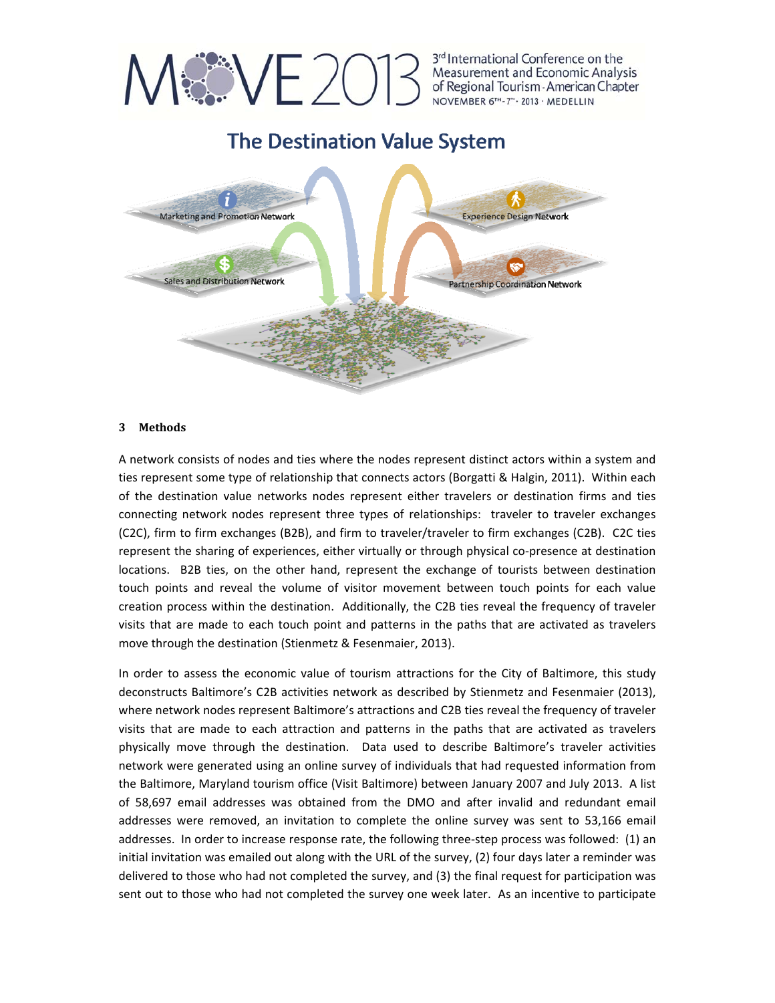

**The Destination Value System** 



### **3 Methods**

A network consists of nodes and ties where the nodes represent distinct actors within a system and ties represent some type of relationship that connects actors (Borgatti & Halgin, 2011). Within each of the destination value networks nodes represent either travelers or destination firms and ties connecting network nodes represent three types of relationships: traveler to traveler exchanges (C2C), firm to firm exchanges (B2B), and firm to traveler/traveler to firm exchanges (C2B). C2C ties represent the sharing of experiences, either virtually or through physical co-presence at destination locations. B2B ties, on the other hand, represent the exchange of tourists between destination touch points and reveal the volume of visitor movement between touch points for each value creation process within the destination. Additionally, the C2B ties reveal the frequency of traveler visits that are made to each touch point and patterns in the paths that are activated as travelers move through the destination (Stienmetz & Fesenmaier, 2013).

In order to assess the economic value of tourism attractions for the City of Baltimore, this study deconstructs Baltimore's C2B activities network as described by Stienmetz and Fesenmaier (2013), where network nodes represent Baltimore's attractions and C2B ties reveal the frequency of traveler visits that are made to each attraction and patterns in the paths that are activated as travelers physically move through the destination. Data used to describe Baltimore's traveler activities network were generated using an online survey of individuals that had requested information from the Baltimore, Maryland tourism office (Visit Baltimore) between January 2007 and July 2013. A list of 58,697 email addresses was obtained from the DMO and after invalid and redundant email addresses were removed, an invitation to complete the online survey was sent to 53,166 email addresses. In order to increase response rate, the following three‐step process was followed: (1) an initial invitation was emailed out along with the URL of the survey, (2) four days later a reminder was delivered to those who had not completed the survey, and (3) the final request for participation was sent out to those who had not completed the survey one week later. As an incentive to participate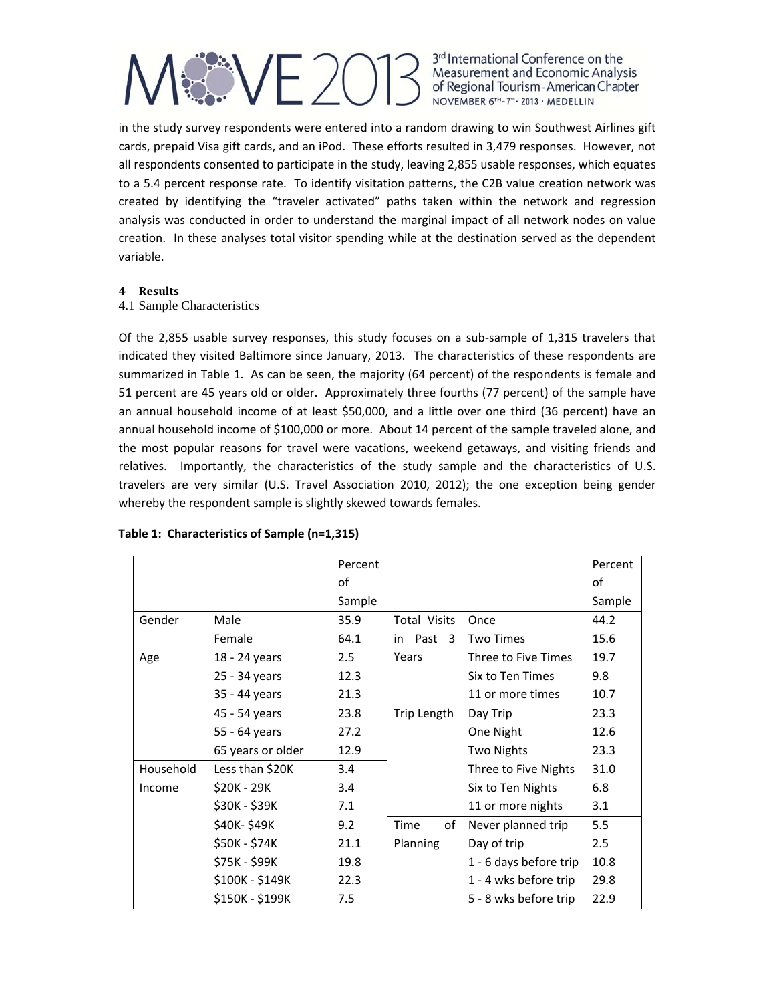in the study survey respondents were entered into a random drawing to win Southwest Airlines gift cards, prepaid Visa gift cards, and an iPod. These efforts resulted in 3,479 responses. However, not all respondents consented to participate in the study, leaving 2,855 usable responses, which equates to a 5.4 percent response rate. To identify visitation patterns, the C2B value creation network was created by identifying the "traveler activated" paths taken within the network and regression analysis was conducted in order to understand the marginal impact of all network nodes on value creation. In these analyses total visitor spending while at the destination served as the dependent variable.

### **4 Results**

### 4.1 Sample Characteristics

Of the 2,855 usable survey responses, this study focuses on a sub‐sample of 1,315 travelers that indicated they visited Baltimore since January, 2013. The characteristics of these respondents are summarized in Table 1. As can be seen, the majority (64 percent) of the respondents is female and 51 percent are 45 years old or older. Approximately three fourths (77 percent) of the sample have an annual household income of at least \$50,000, and a little over one third (36 percent) have an annual household income of \$100,000 or more. About 14 percent of the sample traveled alone, and the most popular reasons for travel were vacations, weekend getaways, and visiting friends and relatives. Importantly, the characteristics of the study sample and the characteristics of U.S. travelers are very similar (U.S. Travel Association 2010, 2012); the one exception being gender whereby the respondent sample is slightly skewed towards females.

|           |                   | Percent |                     |                        | Percent |
|-----------|-------------------|---------|---------------------|------------------------|---------|
|           |                   | of      |                     |                        | οf      |
|           |                   | Sample  |                     |                        | Sample  |
| Gender    | Male              | 35.9    | <b>Total Visits</b> | Once                   | 44.2    |
|           | Female            | 64.1    | Past 3<br>in        | <b>Two Times</b>       | 15.6    |
| Age       | 18 - 24 years     | 2.5     | Years               | Three to Five Times    | 19.7    |
|           | 25 - 34 years     | 12.3    |                     | Six to Ten Times       | 9.8     |
|           | 35 - 44 years     | 21.3    |                     | 11 or more times       | 10.7    |
|           | 45 - 54 years     | 23.8    | Trip Length         | Day Trip               | 23.3    |
|           | 55 - 64 years     | 27.2    |                     | One Night              | 12.6    |
|           | 65 years or older | 12.9    |                     | Two Nights             | 23.3    |
| Household | Less than \$20K   | 3.4     |                     | Three to Five Nights   | 31.0    |
| Income    | \$20K - 29K       | 3.4     |                     | Six to Ten Nights      | 6.8     |
|           | \$30K - \$39K     | 7.1     |                     | 11 or more nights      | 3.1     |
|           | \$40K-\$49K       | 9.2     | of<br>Time          | Never planned trip     | 5.5     |
|           | \$50K - \$74K     | 21.1    | Planning            | Day of trip            | 2.5     |
|           | \$75K - \$99K     | 19.8    |                     | 1 - 6 days before trip | 10.8    |
|           | \$100K - \$149K   | 22.3    |                     | 1 - 4 wks before trip  | 29.8    |
|           | \$150K - \$199K   | 7.5     |                     | 5 - 8 wks before trip  | 22.9    |

### **Table 1: Characteristics of Sample (n=1,315)**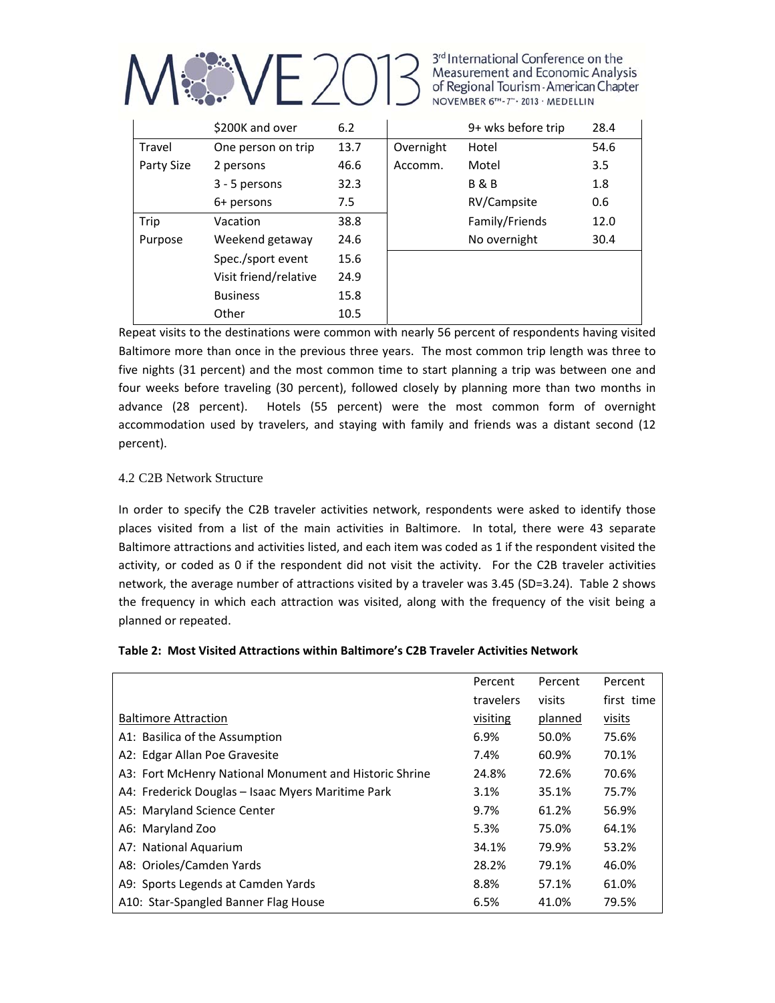

|            | \$200K and over       | 6.2             |           | 9+ wks before trip | 28.4 |
|------------|-----------------------|-----------------|-----------|--------------------|------|
| Travel     | One person on trip    | 13.7            | Overnight | Hotel              | 54.6 |
| Party Size | 2 persons             | 46.6<br>Accomm. |           | Motel              | 3.5  |
|            | 3 - 5 persons         | 32.3            |           | <b>B&amp;B</b>     | 1.8  |
|            | 6+ persons            | 7.5             |           | RV/Campsite        | 0.6  |
| Trip       | Vacation              | 38.8            |           | Family/Friends     | 12.0 |
| Purpose    | Weekend getaway       | 24.6            |           | No overnight       | 30.4 |
|            | Spec./sport event     | 15.6            |           |                    |      |
|            | Visit friend/relative | 24.9            |           |                    |      |
|            | <b>Business</b>       | 15.8            |           |                    |      |
|            | Other                 | 10.5            |           |                    |      |

Repeat visits to the destinations were common with nearly 56 percent of respondents having visited Baltimore more than once in the previous three years. The most common trip length was three to five nights (31 percent) and the most common time to start planning a trip was between one and four weeks before traveling (30 percent), followed closely by planning more than two months in advance (28 percent). Hotels (55 percent) were the most common form of overnight accommodation used by travelers, and staying with family and friends was a distant second (12 percent).

### 4.2 C2B Network Structure

In order to specify the C2B traveler activities network, respondents were asked to identify those places visited from a list of the main activities in Baltimore. In total, there were 43 separate Baltimore attractions and activities listed, and each item was coded as 1 if the respondent visited the activity, or coded as 0 if the respondent did not visit the activity. For the C2B traveler activities network, the average number of attractions visited by a traveler was 3.45 (SD=3.24). Table 2 shows the frequency in which each attraction was visited, along with the frequency of the visit being a planned or repeated.

### **Table 2: Most Visited Attractions within Baltimore's C2B Traveler Activities Network**

|                                                        | Percent   | Percent | Percent    |
|--------------------------------------------------------|-----------|---------|------------|
|                                                        | travelers | visits  | first time |
| <b>Baltimore Attraction</b>                            | visiting  | planned | visits     |
| A1: Basilica of the Assumption                         | 6.9%      | 50.0%   | 75.6%      |
| A2: Edgar Allan Poe Gravesite                          | 7.4%      | 60.9%   | 70.1%      |
| A3: Fort McHenry National Monument and Historic Shrine | 24.8%     | 72.6%   | 70.6%      |
| A4: Frederick Douglas - Isaac Myers Maritime Park      | 3.1%      | 35.1%   | 75.7%      |
| A5: Maryland Science Center                            | 9.7%      | 61.2%   | 56.9%      |
| A6: Maryland Zoo                                       | 5.3%      | 75.0%   | 64.1%      |
| A7: National Aquarium                                  | 34.1%     | 79.9%   | 53.2%      |
| A8: Orioles/Camden Yards                               | 28.2%     | 79.1%   | 46.0%      |
| A9: Sports Legends at Camden Yards                     | 8.8%      | 57.1%   | 61.0%      |
| A10: Star-Spangled Banner Flag House                   | 6.5%      | 41.0%   | 79.5%      |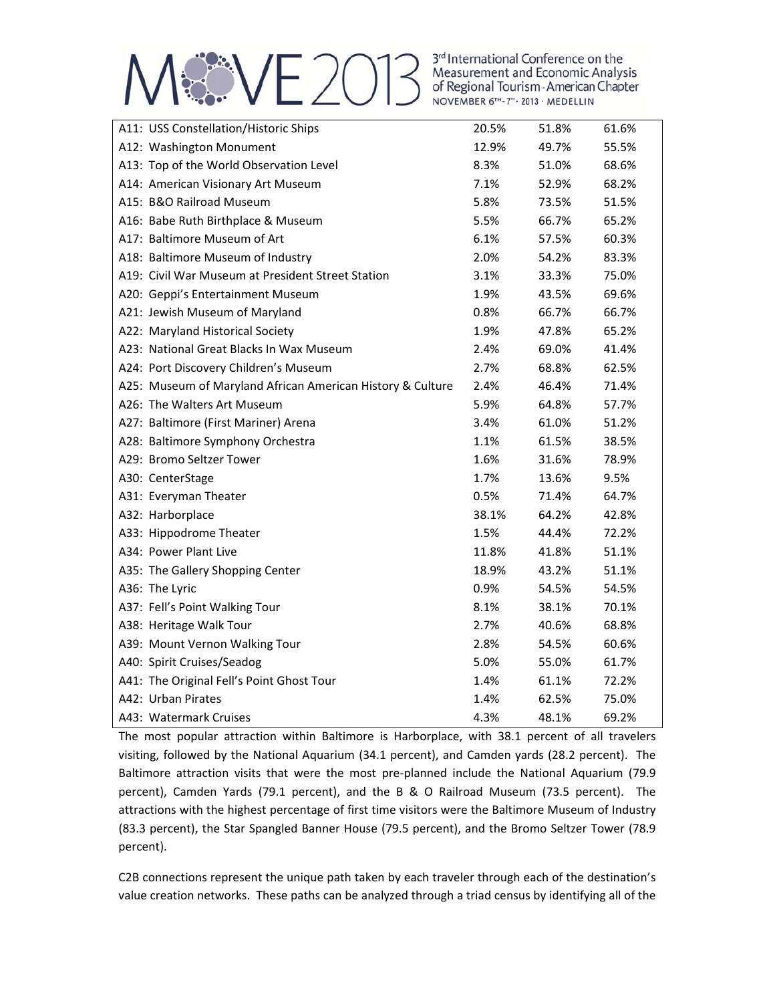## ME 2013 Measurement and Economic Analysis<br>of Regional Tourism - American Chapter<br>November 6<sup>TH</sup>-7<sup>-</sup>-2013 - MEDELLIN

| A11: USS Constellation/Historic Ships                      | 20.5% | 51.8% | 61.6% |
|------------------------------------------------------------|-------|-------|-------|
| A12: Washington Monument                                   | 12.9% | 49.7% | 55.5% |
| A13: Top of the World Observation Level                    | 8.3%  | 51.0% | 68.6% |
| A14: American Visionary Art Museum                         | 7.1%  | 52.9% | 68.2% |
| A15: B&O Railroad Museum                                   | 5.8%  | 73.5% | 51.5% |
| A16: Babe Ruth Birthplace & Museum                         | 5.5%  | 66.7% | 65.2% |
| A17: Baltimore Museum of Art                               | 6.1%  | 57.5% | 60.3% |
| A18: Baltimore Museum of Industry                          | 2.0%  | 54.2% | 83.3% |
| A19: Civil War Museum at President Street Station          | 3.1%  | 33.3% | 75.0% |
| A20: Geppi's Entertainment Museum                          | 1.9%  | 43.5% | 69.6% |
| A21: Jewish Museum of Maryland                             | 0.8%  | 66.7% | 66.7% |
| A22: Maryland Historical Society                           | 1.9%  | 47.8% | 65.2% |
| A23: National Great Blacks In Wax Museum                   | 2.4%  | 69.0% | 41.4% |
| A24: Port Discovery Children's Museum                      | 2.7%  | 68.8% | 62.5% |
| A25: Museum of Maryland African American History & Culture | 2.4%  | 46.4% | 71.4% |
| A26: The Walters Art Museum                                | 5.9%  | 64.8% | 57.7% |
| A27: Baltimore (First Mariner) Arena                       | 3.4%  | 61.0% | 51.2% |
| A28: Baltimore Symphony Orchestra                          | 1.1%  | 61.5% | 38.5% |
| A29: Bromo Seltzer Tower                                   | 1.6%  | 31.6% | 78.9% |
| A30: CenterStage                                           | 1.7%  | 13.6% | 9.5%  |
| A31: Everyman Theater                                      | 0.5%  | 71.4% | 64.7% |
| A32: Harborplace                                           | 38.1% | 64.2% | 42.8% |
| A33: Hippodrome Theater                                    | 1.5%  | 44.4% | 72.2% |
| A34: Power Plant Live                                      | 11.8% | 41.8% | 51.1% |
| A35: The Gallery Shopping Center                           | 18.9% | 43.2% | 51.1% |
| A36: The Lyric                                             | 0.9%  | 54.5% | 54.5% |
| A37: Fell's Point Walking Tour                             | 8.1%  | 38.1% | 70.1% |
| A38: Heritage Walk Tour                                    | 2.7%  | 40.6% | 68.8% |
| A39: Mount Vernon Walking Tour                             | 2.8%  | 54.5% | 60.6% |
| A40: Spirit Cruises/Seadog                                 | 5.0%  | 55.0% | 61.7% |
| A41: The Original Fell's Point Ghost Tour                  | 1.4%  | 61.1% | 72.2% |
| A42: Urban Pirates                                         | 1.4%  | 62.5% | 75.0% |
| A43: Watermark Cruises                                     | 4.3%  | 48.1% | 69.2% |

The most popular attraction within Baltimore is Harborplace, with 38.1 percent of all travelers visiting, followed by the National Aquarium (34.1 percent), and Camden yards (28.2 percent). The Baltimore attraction visits that were the most pre‐planned include the National Aquarium (79.9 percent), Camden Yards (79.1 percent), and the B & O Railroad Museum (73.5 percent). The attractions with the highest percentage of first time visitors were the Baltimore Museum of Industry (83.3 percent), the Star Spangled Banner House (79.5 percent), and the Bromo Seltzer Tower (78.9 percent).

C2B connections represent the unique path taken by each traveler through each of the destination's value creation networks. These paths can be analyzed through a triad census by identifying all of the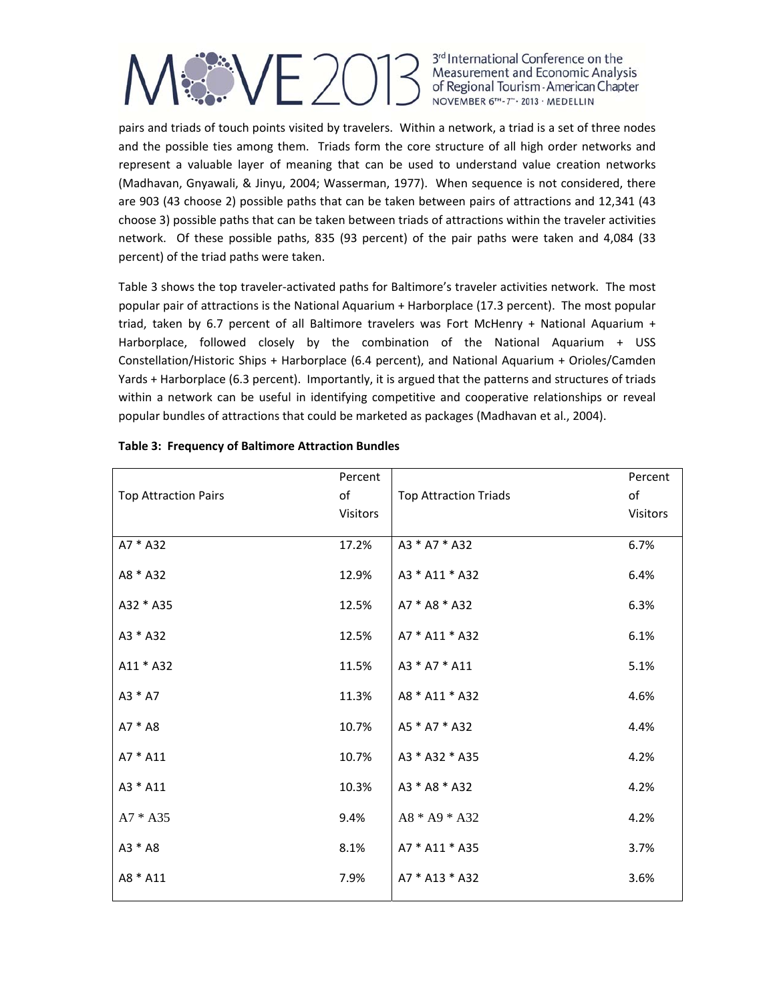pairs and triads of touch points visited by travelers. Within a network, a triad is a set of three nodes and the possible ties among them. Triads form the core structure of all high order networks and represent a valuable layer of meaning that can be used to understand value creation networks (Madhavan, Gnyawali, & Jinyu, 2004; Wasserman, 1977). When sequence is not considered, there are 903 (43 choose 2) possible paths that can be taken between pairs of attractions and 12,341 (43 choose 3) possible paths that can be taken between triads of attractions within the traveler activities network. Of these possible paths, 835 (93 percent) of the pair paths were taken and 4,084 (33 percent) of the triad paths were taken.

Table 3 shows the top traveler‐activated paths for Baltimore's traveler activities network. The most popular pair of attractions is the National Aquarium + Harborplace (17.3 percent). The most popular triad, taken by 6.7 percent of all Baltimore travelers was Fort McHenry + National Aquarium + Harborplace, followed closely by the combination of the National Aquarium + USS Constellation/Historic Ships + Harborplace (6.4 percent), and National Aquarium + Orioles/Camden Yards + Harborplace (6.3 percent). Importantly, it is argued that the patterns and structures of triads within a network can be useful in identifying competitive and cooperative relationships or reveal popular bundles of attractions that could be marketed as packages (Madhavan et al., 2004).

|                             | Percent  |                              | Percent  |
|-----------------------------|----------|------------------------------|----------|
| <b>Top Attraction Pairs</b> | оf       | <b>Top Attraction Triads</b> | оf       |
|                             | Visitors |                              | Visitors |
|                             |          |                              |          |
| A7 * A32                    | 17.2%    | A3 * A7 * A32                | 6.7%     |
| A8 * A32                    | 12.9%    | A3 * A11 * A32               | 6.4%     |
| A32 * A35                   | 12.5%    | A7 * A8 * A32                | 6.3%     |
|                             |          |                              |          |
| A3 * A32                    | 12.5%    | A7 * A11 * A32               | 6.1%     |
| A11 * A32                   | 11.5%    | A3 * A7 * A11                | 5.1%     |
| A3 * A7                     | 11.3%    | A8 * A11 * A32               | 4.6%     |
| $A7 * A8$                   | 10.7%    | A5 * A7 * A32                | 4.4%     |
| A7 * A11                    | 10.7%    | A3 * A32 * A35               | 4.2%     |
|                             |          |                              |          |
| A3 * A11                    | 10.3%    | A3 * A8 * A32                | 4.2%     |
| $A7 * A35$                  | 9.4%     | A8 * A9 * A32                | 4.2%     |
| A3 * A8                     | 8.1%     | A7 * A11 * A35               | 3.7%     |
| A8 * A11                    | 7.9%     | A7 * A13 * A32               | 3.6%     |
|                             |          |                              |          |

### **Table 3: Frequency of Baltimore Attraction Bundles**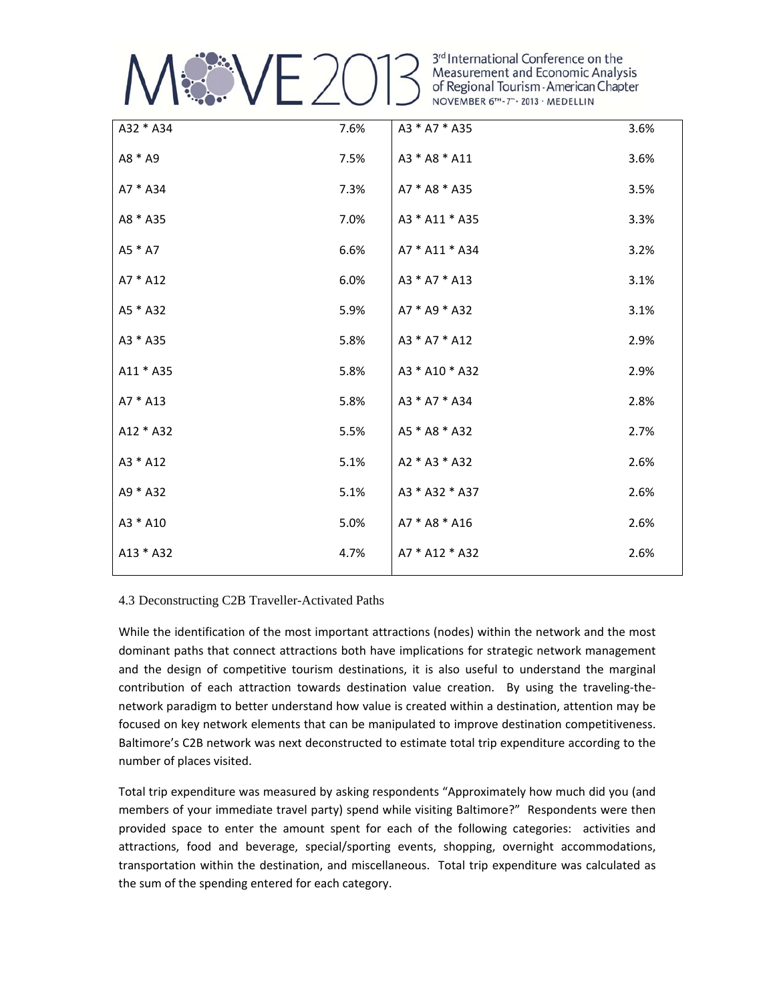

3rd International Conference on the<br>Measurement and Economic Analysis NOVEMBER 6TH-7" . 2013 · MEDELLIN

| A32 * A34  | 7.6% | A3 * A7 * A35  | 3.6% |
|------------|------|----------------|------|
| A8 * A9    | 7.5% | A3 * A8 * A11  | 3.6% |
| $A7 * A34$ | 7.3% | A7 * A8 * A35  | 3.5% |
| A8 * A35   | 7.0% | A3 * A11 * A35 | 3.3% |
| A5 * A7    | 6.6% | A7 * A11 * A34 | 3.2% |
| $A7 * A12$ | 6.0% | A3 * A7 * A13  | 3.1% |
| A5 * A32   | 5.9% | A7 * A9 * A32  | 3.1% |
| A3 * A35   | 5.8% | A3 * A7 * A12  | 2.9% |
| A11 * A35  | 5.8% | A3 * A10 * A32 | 2.9% |
| A7 * A13   | 5.8% | A3 * A7 * A34  | 2.8% |
| A12 * A32  | 5.5% | A5 * A8 * A32  | 2.7% |
| A3 * A12   | 5.1% | A2 * A3 * A32  | 2.6% |
| A9 * A32   | 5.1% | A3 * A32 * A37 | 2.6% |
| A3 * A10   | 5.0% | A7 * A8 * A16  | 2.6% |
| A13 * A32  | 4.7% | A7 * A12 * A32 | 2.6% |
|            |      |                |      |

### 4.3 Deconstructing C2B Traveller-Activated Paths

While the identification of the most important attractions (nodes) within the network and the most dominant paths that connect attractions both have implications for strategic network management and the design of competitive tourism destinations, it is also useful to understand the marginal contribution of each attraction towards destination value creation. By using the traveling-thenetwork paradigm to better understand how value is created within a destination, attention may be focused on key network elements that can be manipulated to improve destination competitiveness. Baltimore's C2B network was next deconstructed to estimate total trip expenditure according to the number of places visited.

Total trip expenditure was measured by asking respondents "Approximately how much did you (and members of your immediate travel party) spend while visiting Baltimore?" Respondents were then provided space to enter the amount spent for each of the following categories: activities and attractions, food and beverage, special/sporting events, shopping, overnight accommodations, transportation within the destination, and miscellaneous. Total trip expenditure was calculated as the sum of the spending entered for each category.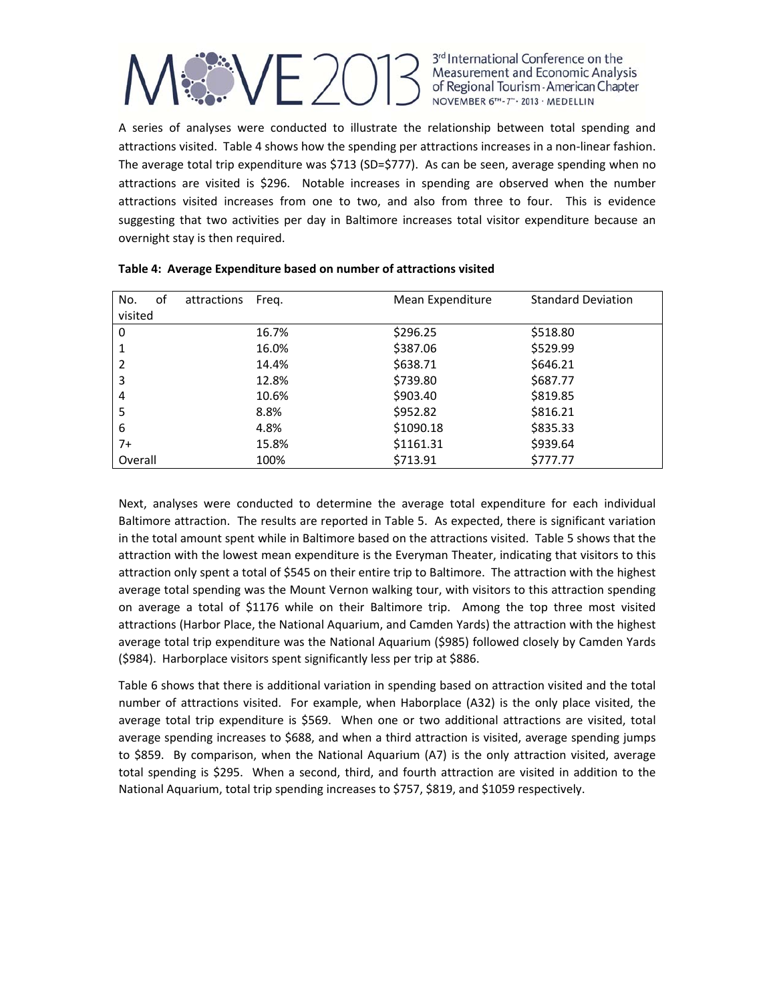

A series of analyses were conducted to illustrate the relationship between total spending and attractions visited. Table 4 shows how the spending per attractions increases in a non‐linear fashion. The average total trip expenditure was \$713 (SD=\$777). As can be seen, average spending when no attractions are visited is \$296. Notable increases in spending are observed when the number attractions visited increases from one to two, and also from three to four. This is evidence suggesting that two activities per day in Baltimore increases total visitor expenditure because an overnight stay is then required.

| of<br>No. | attractions | Freg. | Mean Expenditure | <b>Standard Deviation</b> |
|-----------|-------------|-------|------------------|---------------------------|
| visited   |             |       |                  |                           |
| $\Omega$  |             | 16.7% | \$296.25         | \$518.80                  |
| 1         |             | 16.0% | \$387.06         | \$529.99                  |
| 2         |             | 14.4% | \$638.71         | \$646.21                  |
| 3         |             | 12.8% | \$739.80         | \$687.77                  |
| 4         |             | 10.6% | \$903.40         | \$819.85                  |
| 5         |             | 8.8%  | \$952.82         | \$816.21                  |
| 6         |             | 4.8%  | \$1090.18        | \$835.33                  |
| $7+$      |             | 15.8% | \$1161.31        | \$939.64                  |
| Overall   |             | 100%  | \$713.91         | \$777.77                  |

|  |  |  |  |  |  | Table 4: Average Expenditure based on number of attractions visited |
|--|--|--|--|--|--|---------------------------------------------------------------------|
|--|--|--|--|--|--|---------------------------------------------------------------------|

Next, analyses were conducted to determine the average total expenditure for each individual Baltimore attraction. The results are reported in Table 5. As expected, there is significant variation in the total amount spent while in Baltimore based on the attractions visited. Table 5 shows that the attraction with the lowest mean expenditure is the Everyman Theater, indicating that visitors to this attraction only spent a total of \$545 on their entire trip to Baltimore. The attraction with the highest average total spending was the Mount Vernon walking tour, with visitors to this attraction spending on average a total of \$1176 while on their Baltimore trip. Among the top three most visited attractions (Harbor Place, the National Aquarium, and Camden Yards) the attraction with the highest average total trip expenditure was the National Aquarium (\$985) followed closely by Camden Yards (\$984). Harborplace visitors spent significantly less per trip at \$886.

Table 6 shows that there is additional variation in spending based on attraction visited and the total number of attractions visited. For example, when Haborplace (A32) is the only place visited, the average total trip expenditure is \$569. When one or two additional attractions are visited, total average spending increases to \$688, and when a third attraction is visited, average spending jumps to \$859. By comparison, when the National Aquarium (A7) is the only attraction visited, average total spending is \$295. When a second, third, and fourth attraction are visited in addition to the National Aquarium, total trip spending increases to \$757, \$819, and \$1059 respectively.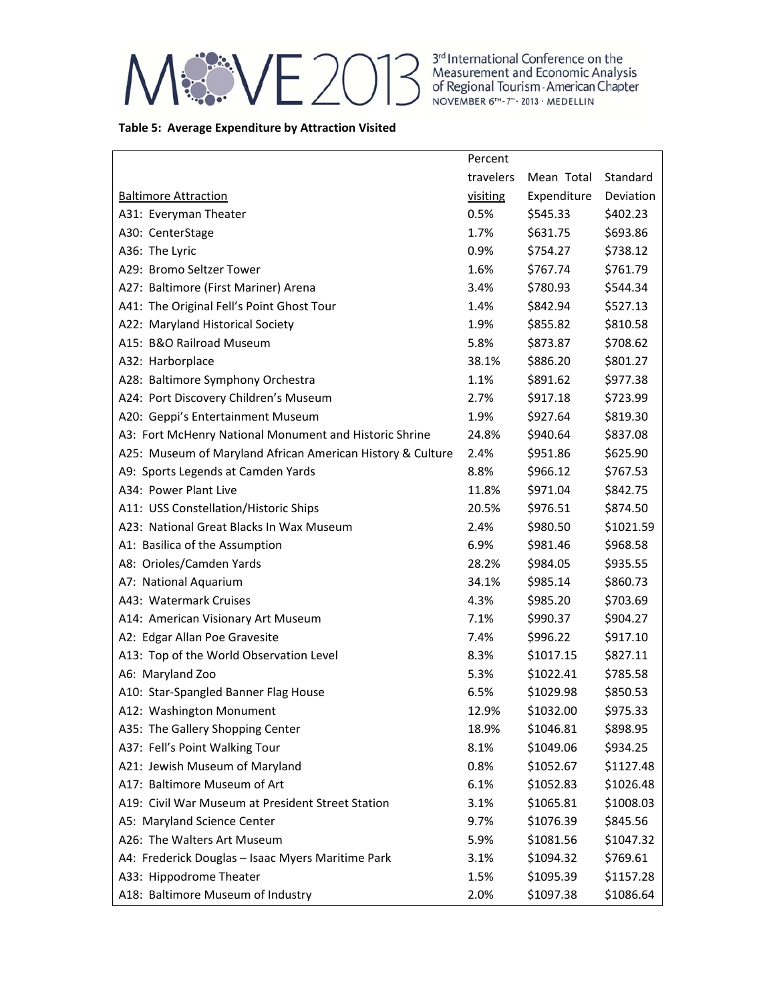

3<sup>rd</sup> International Conference on the<br>Measurement and Economic Analysis<br>of Regional Tourism - American Chapter<br>NOVEMBER 6<sup>m</sup> - 7<sup>n</sup> - 2013 - MEDELLIN

### **Table 5: Average Expenditure by Attraction Visited**

|                                                            | Percent   |             |           |
|------------------------------------------------------------|-----------|-------------|-----------|
|                                                            | travelers | Mean Total  | Standard  |
| <b>Baltimore Attraction</b>                                | visiting  | Expenditure | Deviation |
| A31: Everyman Theater                                      | 0.5%      | \$545.33    | \$402.23  |
| A30: CenterStage                                           | 1.7%      | \$631.75    | \$693.86  |
| A36: The Lyric                                             | 0.9%      | \$754.27    | \$738.12  |
| A29: Bromo Seltzer Tower                                   | 1.6%      | \$767.74    | \$761.79  |
| A27: Baltimore (First Mariner) Arena                       | 3.4%      | \$780.93    | \$544.34  |
| A41: The Original Fell's Point Ghost Tour                  | 1.4%      | \$842.94    | \$527.13  |
| A22: Maryland Historical Society                           | 1.9%      | \$855.82    | \$810.58  |
| A15: B&O Railroad Museum                                   | 5.8%      | \$873.87    | \$708.62  |
| A32: Harborplace                                           | 38.1%     | \$886.20    | \$801.27  |
| A28: Baltimore Symphony Orchestra                          | 1.1%      | \$891.62    | \$977.38  |
| A24: Port Discovery Children's Museum                      | 2.7%      | \$917.18    | \$723.99  |
| A20: Geppi's Entertainment Museum                          | 1.9%      | \$927.64    | \$819.30  |
| A3: Fort McHenry National Monument and Historic Shrine     | 24.8%     | \$940.64    | \$837.08  |
| A25: Museum of Maryland African American History & Culture | 2.4%      | \$951.86    | \$625.90  |
| A9: Sports Legends at Camden Yards                         | 8.8%      | \$966.12    | \$767.53  |
| A34: Power Plant Live                                      | 11.8%     | \$971.04    | \$842.75  |
| A11: USS Constellation/Historic Ships                      | 20.5%     | \$976.51    | \$874.50  |
| A23: National Great Blacks In Wax Museum                   | 2.4%      | \$980.50    | \$1021.59 |
| A1: Basilica of the Assumption                             | 6.9%      | \$981.46    | \$968.58  |
| A8: Orioles/Camden Yards                                   | 28.2%     | \$984.05    | \$935.55  |
| A7: National Aquarium                                      | 34.1%     | \$985.14    | \$860.73  |
| A43: Watermark Cruises                                     | 4.3%      | \$985.20    | \$703.69  |
| A14: American Visionary Art Museum                         | 7.1%      | \$990.37    | \$904.27  |
| A2: Edgar Allan Poe Gravesite                              | 7.4%      | \$996.22    | \$917.10  |
| A13: Top of the World Observation Level                    | 8.3%      | \$1017.15   | \$827.11  |
| A6: Maryland Zoo                                           | 5.3%      | \$1022.41   | \$785.58  |
| A10: Star-Spangled Banner Flag House                       | 6.5%      | \$1029.98   | \$850.53  |
| A12: Washington Monument                                   | 12.9%     | \$1032.00   | \$975.33  |
| A35: The Gallery Shopping Center                           | 18.9%     | \$1046.81   | \$898.95  |
| A37: Fell's Point Walking Tour                             | 8.1%      | \$1049.06   | \$934.25  |
| A21: Jewish Museum of Maryland                             | 0.8%      | \$1052.67   | \$1127.48 |
| A17: Baltimore Museum of Art                               | 6.1%      | \$1052.83   | \$1026.48 |
| A19: Civil War Museum at President Street Station          | 3.1%      | \$1065.81   | \$1008.03 |
| A5: Maryland Science Center                                | 9.7%      | \$1076.39   | \$845.56  |
| A26: The Walters Art Museum                                | 5.9%      | \$1081.56   | \$1047.32 |
| A4: Frederick Douglas - Isaac Myers Maritime Park          | 3.1%      | \$1094.32   | \$769.61  |
| A33: Hippodrome Theater                                    | 1.5%      | \$1095.39   | \$1157.28 |
| A18: Baltimore Museum of Industry                          | 2.0%      | \$1097.38   | \$1086.64 |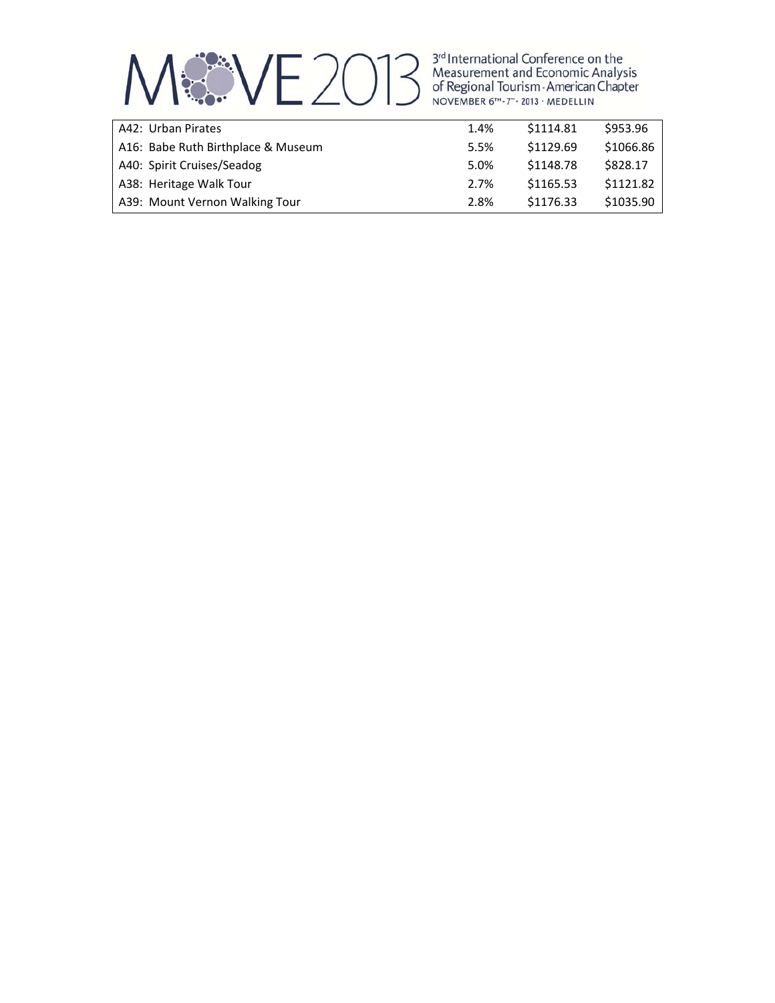

| A42: Urban Pirates                 | 1.4% | \$1114.81 | \$953.96  |
|------------------------------------|------|-----------|-----------|
| A16: Babe Ruth Birthplace & Museum | 5.5% | \$1129.69 | \$1066.86 |
| A40: Spirit Cruises/Seadog         | 5.0% | \$1148.78 | \$828.17  |
| A38: Heritage Walk Tour            | 2.7% | \$1165.53 | \$1121.82 |
| A39: Mount Vernon Walking Tour     | 2.8% | \$1176.33 | \$1035.90 |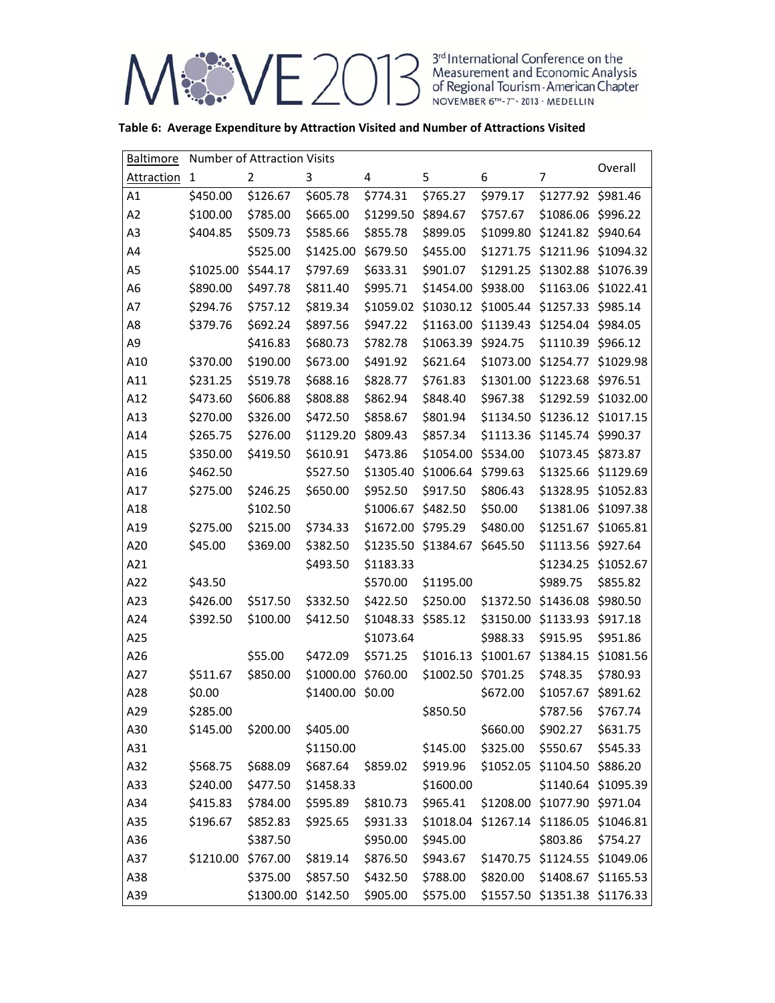ME 2013 Measurement and Economic Analysis<br>of Regional Tourism - American Chapter<br>November 6<sup>TH</sup>-7<sup>-</sup>-2013 - MEDELLIN

|  |  | Table 6: Average Expenditure by Attraction Visited and Number of Attractions Visited |
|--|--|--------------------------------------------------------------------------------------|
|--|--|--------------------------------------------------------------------------------------|

| <b>Baltimore</b> | Number of Attraction Visits |                    |           |           |           |           | Overall                       |                               |
|------------------|-----------------------------|--------------------|-----------|-----------|-----------|-----------|-------------------------------|-------------------------------|
| Attraction       | 1                           | $\overline{2}$     | 3         | 4         | 5         | 6         | 7                             |                               |
| A1               | \$450.00                    | \$126.67           | \$605.78  | \$774.31  | \$765.27  | \$979.17  | \$1277.92 \$981.46            |                               |
| A2               | \$100.00                    | \$785.00           | \$665.00  | \$1299.50 | \$894.67  | \$757.67  | \$1086.06 \$996.22            |                               |
| A3               | \$404.85                    | \$509.73           | \$585.66  | \$855.78  | \$899.05  | \$1099.80 | \$1241.82 \$940.64            |                               |
| A4               |                             | \$525.00           | \$1425.00 | \$679.50  | \$455.00  | \$1271.75 | \$1211.96                     | \$1094.32                     |
| A <sub>5</sub>   | \$1025.00                   | \$544.17           | \$797.69  | \$633.31  | \$901.07  | \$1291.25 | \$1302.88                     | \$1076.39                     |
| A <sub>6</sub>   | \$890.00                    | \$497.78           | \$811.40  | \$995.71  | \$1454.00 | \$938.00  | \$1163.06                     | \$1022.41                     |
| A7               | \$294.76                    | \$757.12           | \$819.34  | \$1059.02 | \$1030.12 | \$1005.44 | \$1257.33                     | \$985.14                      |
| A8               | \$379.76                    | \$692.24           | \$897.56  | \$947.22  | \$1163.00 | \$1139.43 | \$1254.04                     | \$984.05                      |
| A9               |                             | \$416.83           | \$680.73  | \$782.78  | \$1063.39 | \$924.75  | \$1110.39                     | \$966.12                      |
| A10              | \$370.00                    | \$190.00           | \$673.00  | \$491.92  | \$621.64  | \$1073.00 | \$1254.77                     | \$1029.98                     |
| A11              | \$231.25                    | \$519.78           | \$688.16  | \$828.77  | \$761.83  | \$1301.00 | \$1223.68                     | \$976.51                      |
| A12              | \$473.60                    | \$606.88           | \$808.88  | \$862.94  | \$848.40  | \$967.38  | \$1292.59                     | \$1032.00                     |
| A13              | \$270.00                    | \$326.00           | \$472.50  | \$858.67  | \$801.94  | \$1134.50 | \$1236.12 \$1017.15           |                               |
| A14              | \$265.75                    | \$276.00           | \$1129.20 | \$809.43  | \$857.34  | \$1113.36 | \$1145.74                     | \$990.37                      |
| A15              | \$350.00                    | \$419.50           | \$610.91  | \$473.86  | \$1054.00 | \$534.00  | \$1073.45 \$873.87            |                               |
| A16              | \$462.50                    |                    | \$527.50  | \$1305.40 | \$1006.64 | \$799.63  | \$1325.66                     | \$1129.69                     |
| A17              | \$275.00                    | \$246.25           | \$650.00  | \$952.50  | \$917.50  | \$806.43  | \$1328.95                     | \$1052.83                     |
| A18              |                             | \$102.50           |           | \$1006.67 | \$482.50  | \$50.00   | \$1381.06                     | \$1097.38                     |
| A19              | \$275.00                    | \$215.00           | \$734.33  | \$1672.00 | \$795.29  | \$480.00  | \$1251.67                     | \$1065.81                     |
| A20              | \$45.00                     | \$369.00           | \$382.50  | \$1235.50 | \$1384.67 | \$645.50  | \$1113.56                     | \$927.64                      |
| A21              |                             |                    | \$493.50  | \$1183.33 |           |           | \$1234.25                     | \$1052.67                     |
| A22              | \$43.50                     |                    |           | \$570.00  | \$1195.00 |           | \$989.75                      | \$855.82                      |
| A23              | \$426.00                    | \$517.50           | \$332.50  | \$422.50  | \$250.00  | \$1372.50 | \$1436.08                     | \$980.50                      |
| A24              | \$392.50                    | \$100.00           | \$412.50  | \$1048.33 | \$585.12  | \$3150.00 | \$1133.93                     | \$917.18                      |
| A25              |                             |                    |           | \$1073.64 |           | \$988.33  | \$915.95                      | \$951.86                      |
| A26              |                             | \$55.00            | \$472.09  | \$571.25  | \$1016.13 | \$1001.67 | \$1384.15                     | \$1081.56                     |
| A27              | \$511.67                    | \$850.00           | \$1000.00 | \$760.00  | \$1002.50 | \$701.25  | \$748.35                      | \$780.93                      |
| A28              | \$0.00                      |                    | \$1400.00 | \$0.00    |           | \$672.00  | \$1057.67                     | \$891.62                      |
| A29              | \$285.00                    |                    |           |           | \$850.50  |           | \$787.56                      | \$767.74                      |
| A30              | \$145.00                    | \$200.00           | \$405.00  |           |           | \$660.00  | \$902.27                      | \$631.75                      |
| A31              |                             |                    | \$1150.00 |           | \$145.00  | \$325.00  | \$550.67                      | \$545.33                      |
| A32              | \$568.75                    | \$688.09           | \$687.64  | \$859.02  | \$919.96  |           | \$1052.05 \$1104.50 \$886.20  |                               |
| A33              | \$240.00                    | \$477.50           | \$1458.33 |           | \$1600.00 |           |                               | \$1140.64 \$1095.39           |
| A34              | \$415.83                    | \$784.00           | \$595.89  | \$810.73  | \$965.41  |           | \$1208.00 \$1077.90 \$971.04  |                               |
| A35              | \$196.67                    | \$852.83           | \$925.65  | \$931.33  | \$1018.04 |           | \$1267.14 \$1186.05 \$1046.81 |                               |
| A36              |                             | \$387.50           |           | \$950.00  | \$945.00  |           | \$803.86                      | \$754.27                      |
| A37              | \$1210.00                   | \$767.00           | \$819.14  | \$876.50  | \$943.67  |           | \$1470.75 \$1124.55 \$1049.06 |                               |
| A38              |                             | \$375.00           | \$857.50  | \$432.50  | \$788.00  | \$820.00  |                               | \$1408.67 \$1165.53           |
| A39              |                             | \$1300.00 \$142.50 |           | \$905.00  | \$575.00  |           |                               | \$1557.50 \$1351.38 \$1176.33 |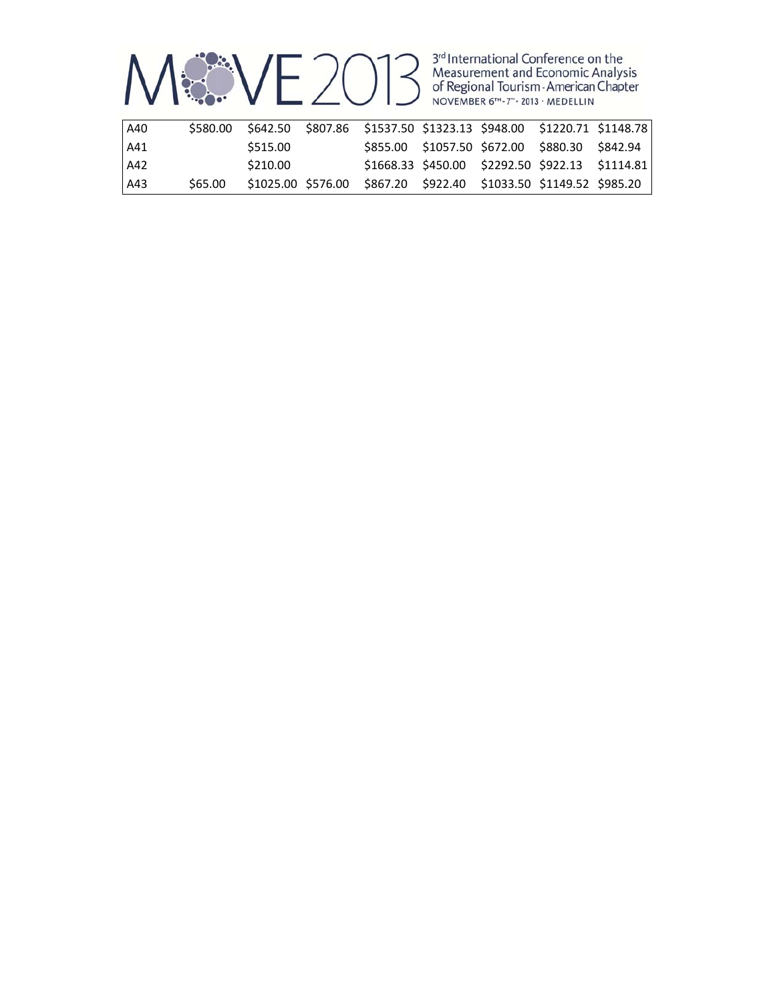

| A40   | \$580.00 |          | \$642.50 \$807.86 \$1537.50 \$1323.13 \$948.00 \$1220.71 \$1148.78 |                                                 |  |  |
|-------|----------|----------|--------------------------------------------------------------------|-------------------------------------------------|--|--|
| l A41 |          | \$515.00 |                                                                    | \$855.00 \$1057.50 \$672.00 \$880.30 \$842.94   |  |  |
| A42   |          | \$210.00 |                                                                    | \$1668.33 \$450.00 \$2292.50 \$922.13 \$1114.81 |  |  |
| A43   | S65.00   |          | \$1025.00 \$576.00 \$867.20 \$922.40 \$1033.50 \$1149.52 \$985.20  |                                                 |  |  |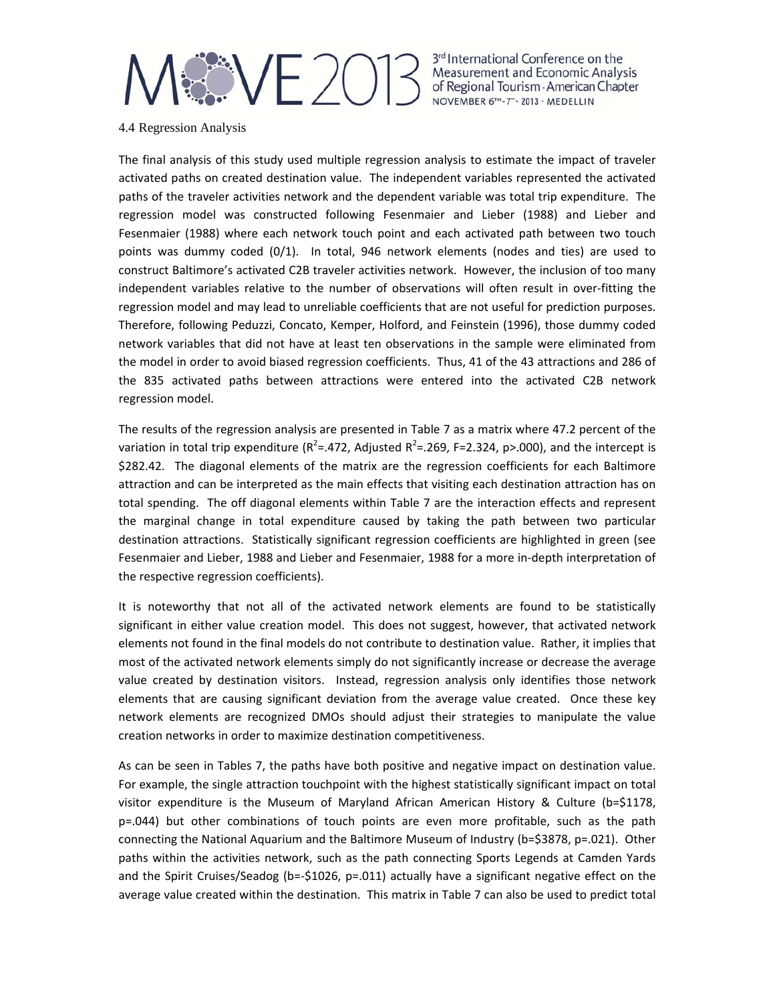### **18NE 2013**

3rd International Conference on the Measurement and Economic Analysis of Regional Tourism - American Chapter NOVEMBER 6TH-7" . 2013 . MEDELLIN

4.4 Regression Analysis

The final analysis of this study used multiple regression analysis to estimate the impact of traveler activated paths on created destination value. The independent variables represented the activated paths of the traveler activities network and the dependent variable was total trip expenditure. The regression model was constructed following Fesenmaier and Lieber (1988) and Lieber and Fesenmaier (1988) where each network touch point and each activated path between two touch points was dummy coded (0/1). In total, 946 network elements (nodes and ties) are used to construct Baltimore's activated C2B traveler activities network. However, the inclusion of too many independent variables relative to the number of observations will often result in over-fitting the regression model and may lead to unreliable coefficients that are not useful for prediction purposes. Therefore, following Peduzzi, Concato, Kemper, Holford, and Feinstein (1996), those dummy coded network variables that did not have at least ten observations in the sample were eliminated from the model in order to avoid biased regression coefficients. Thus, 41 of the 43 attractions and 286 of the 835 activated paths between attractions were entered into the activated C2B network regression model.

The results of the regression analysis are presented in Table 7 as a matrix where 47.2 percent of the variation in total trip expenditure (R<sup>2</sup>=.472, Adjusted R<sup>2</sup>=.269, F=2.324, p>.000), and the intercept is \$282.42. The diagonal elements of the matrix are the regression coefficients for each Baltimore attraction and can be interpreted as the main effects that visiting each destination attraction has on total spending. The off diagonal elements within Table 7 are the interaction effects and represent the marginal change in total expenditure caused by taking the path between two particular destination attractions. Statistically significant regression coefficients are highlighted in green (see Fesenmaier and Lieber, 1988 and Lieber and Fesenmaier, 1988 for a more in‐depth interpretation of the respective regression coefficients).

It is noteworthy that not all of the activated network elements are found to be statistically significant in either value creation model. This does not suggest, however, that activated network elements not found in the final models do not contribute to destination value. Rather, it implies that most of the activated network elements simply do not significantly increase or decrease the average value created by destination visitors. Instead, regression analysis only identifies those network elements that are causing significant deviation from the average value created. Once these key network elements are recognized DMOs should adjust their strategies to manipulate the value creation networks in order to maximize destination competitiveness.

As can be seen in Tables 7, the paths have both positive and negative impact on destination value. For example, the single attraction touchpoint with the highest statistically significant impact on total visitor expenditure is the Museum of Maryland African American History & Culture (b=\$1178, p=.044) but other combinations of touch points are even more profitable, such as the path connecting the National Aquarium and the Baltimore Museum of Industry (b=\$3878, p=.021). Other paths within the activities network, such as the path connecting Sports Legends at Camden Yards and the Spirit Cruises/Seadog (b=-\$1026, p=.011) actually have a significant negative effect on the average value created within the destination. This matrix in Table 7 can also be used to predict total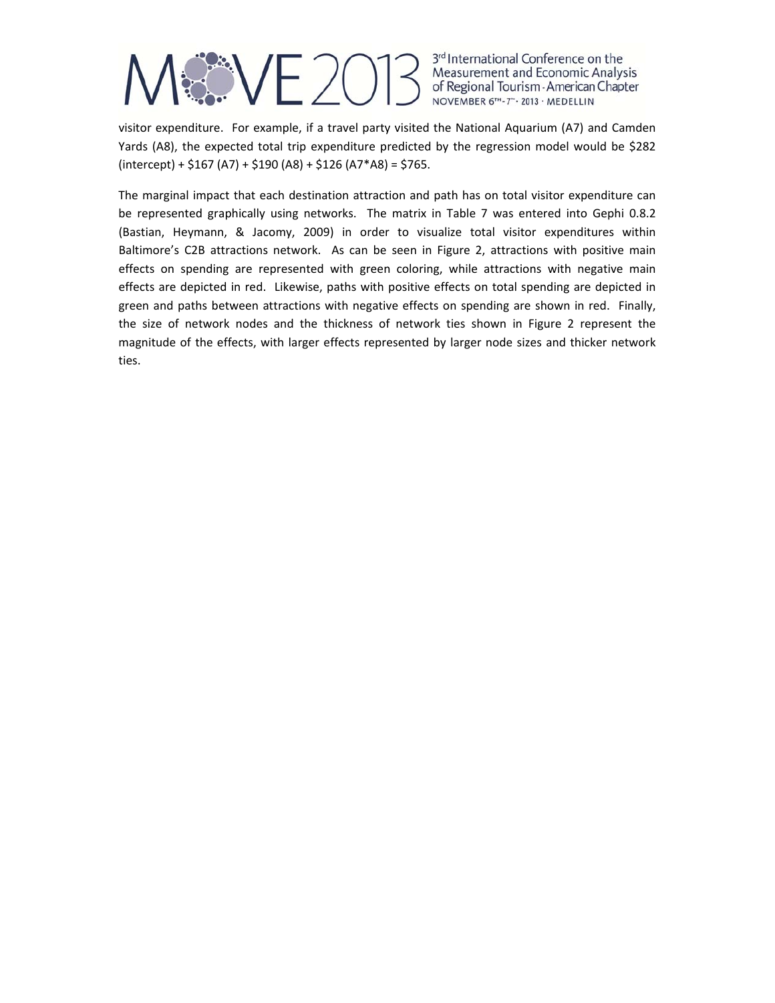

visitor expenditure. For example, if a travel party visited the National Aquarium (A7) and Camden Yards (A8), the expected total trip expenditure predicted by the regression model would be \$282  $(intexcept) + $167 (A7) + $190 (A8) + $126 (A7*A8) = $765.$ 

The marginal impact that each destination attraction and path has on total visitor expenditure can be represented graphically using networks. The matrix in Table 7 was entered into Gephi 0.8.2 (Bastian, Heymann, & Jacomy, 2009) in order to visualize total visitor expenditures within Baltimore's C2B attractions network. As can be seen in Figure 2, attractions with positive main effects on spending are represented with green coloring, while attractions with negative main effects are depicted in red. Likewise, paths with positive effects on total spending are depicted in green and paths between attractions with negative effects on spending are shown in red. Finally, the size of network nodes and the thickness of network ties shown in Figure 2 represent the magnitude of the effects, with larger effects represented by larger node sizes and thicker network ties.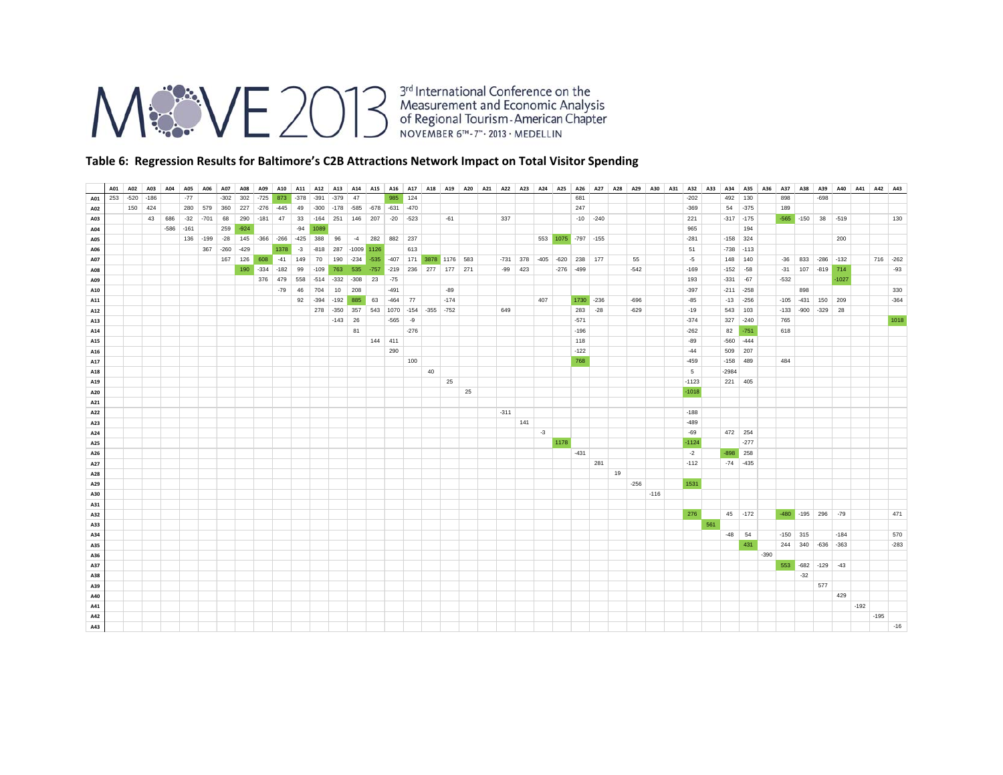

#### **Table 6: Regression Results for Baltimore's C2B Attractions Network Impact on Total Visitor Spending**

|     |     | A01 A02 | A03     | A04    | <b>A05</b> | A06       | A07          | A08    |        | A09 A10         |        |        | A11   A12   A13   A14   A15   A16   A17   A18   A19   A20   A21   A22   A23   A24   A25   A26   A27   A28   A29   A30   A31   A32   A33   A34   A35   A36   A36 |        |    |                             |        |    |        |    |        |           |      |                            |            |              |    |        |        |         |     |               |          |        |            | A37 A38 A39 A40 A41 A42 A43 |               |         |        |        |          |
|-----|-----|---------|---------|--------|------------|-----------|--------------|--------|--------|-----------------|--------|--------|-----------------------------------------------------------------------------------------------------------------------------------------------------------------|--------|----|-----------------------------|--------|----|--------|----|--------|-----------|------|----------------------------|------------|--------------|----|--------|--------|---------|-----|---------------|----------|--------|------------|-----------------------------|---------------|---------|--------|--------|----------|
| A01 | 253 | $-520$  | $-186$  |        | $-77$      |           | $-302$       | 302    | $-725$ | 873             | $-378$ | $-391$ | $-379$                                                                                                                                                          | 47     |    | 985 124                     |        |    |        |    |        |           |      |                            | 681        |              |    |        |        | $-202$  |     | 492           | 130      |        | 898        |                             | $-698$        |         |        |        |          |
| A02 |     |         | 150 424 |        | 280        | 579       | 360          | 227    |        | $-276 - 445$    | 49     |        | $-300$ $-178$ $-585$ $-678$ $-631$ $-470$                                                                                                                       |        |    |                             |        |    |        |    |        |           |      |                            | 247        |              |    |        |        | $-369$  |     | 54            | $-375$   |        | 189        |                             |               |         |        |        |          |
| A03 |     |         | 43      | 686    | $-32$      | $-701$ 68 |              | 290    |        | $-181$ 47       | 33     |        | $-164$ 251 146 207                                                                                                                                              |        |    | $-20 -523$                  |        |    | $-61$  |    | 337    |           |      |                            |            | $-10$ $-240$ |    |        |        | 221     |     | $-317 - 175$  |          |        |            | $-565$ $-150$ 38 $-519$     |               |         |        |        | 130      |
| A04 |     |         |         | $-586$ | $-161$     |           | 259          | $-924$ |        |                 | $-94$  | 1089   |                                                                                                                                                                 |        |    |                             |        |    |        |    |        |           |      |                            |            |              |    |        |        | 965     |     |               | 194      |        |            |                             |               |         |        |        |          |
| A05 |     |         |         |        |            |           | 136 -199 -28 |        |        | 145 - 366 - 266 | $-425$ | 388    | 96                                                                                                                                                              | $-4$   |    | 282 882 237                 |        |    |        |    |        |           |      | 553 1075 -797 -155         |            |              |    |        |        | $-281$  |     | $-158$ 324    |          |        |            |                             |               | 200     |        |        |          |
| A06 |     |         |         |        |            | 367       | $-260$       | $-429$ |        | 1378            | $-3$   | $-818$ | 287 -1009 1126                                                                                                                                                  |        |    |                             | 613    |    |        |    |        |           |      |                            |            |              |    |        |        | 51      |     | $-738$ $-113$ |          |        |            |                             |               |         |        |        |          |
| A07 |     |         |         |        |            |           | 167          | 126    | 608    | $-41$           | 149    | 70     | 190 -234                                                                                                                                                        |        |    | -535 -407 171 3878 1176 583 |        |    |        |    |        |           |      | -731 378 -405 -620 238 177 |            |              |    | 55     |        | $-5$    |     | 148 140       |          |        | $-36$      |                             | 833 -286 -132 |         |        |        | 716 -262 |
| A08 |     |         |         |        |            |           |              | 190    | $-334$ | $-182$          | 99     | $-109$ | 763 535 -757 -219 236 277 177 271                                                                                                                               |        |    |                             |        |    |        |    |        | $-99$ 423 |      | $-276$ $-499$              |            |              |    | $-542$ |        | $-169$  |     | $-152 - 58$   |          |        |            | $-31$ 107 $-819$ 714        |               |         |        |        | $-93$    |
| A09 |     |         |         |        |            |           |              |        |        | 376 479         | 558    |        | $-514 - 332$                                                                                                                                                    | $-308$ | 23 | $-75$                       |        |    |        |    |        |           |      |                            |            |              |    |        |        | 193     |     | $-331 - 67$   |          |        | $-532$     |                             |               | $-1027$ |        |        |          |
| A10 |     |         |         |        |            |           |              |        |        | $-79$           | 46     | 704    | 10                                                                                                                                                              | 208    |    | $-491$                      |        |    | $-89$  |    |        |           |      |                            |            |              |    |        |        | $-397$  |     | $-211 - 258$  |          |        |            | 898                         |               |         |        |        | 330      |
| A11 |     |         |         |        |            |           |              |        |        |                 | 92     | $-394$ | $-192$                                                                                                                                                          | 885    | 63 | $-464$                      | 77     |    | $-174$ |    |        |           | 407  |                            | 1730 - 236 |              |    | $-696$ |        | $-85$   |     | $-13$         | $-256$   |        |            | $-105$ $-431$ 150 209       |               |         |        |        | $-364$   |
| A12 |     |         |         |        |            |           |              |        |        |                 |        |        | 278 - 350 357                                                                                                                                                   |        |    | 543 1070 -154 -355 -752     |        |    |        |    | 649    |           |      |                            | 283        | $-28$        |    | $-629$ |        | $-19$   |     | 543           | 103      |        |            | $-133$ $-900$ $-329$ 28     |               |         |        |        |          |
| A13 |     |         |         |        |            |           |              |        |        |                 |        |        | $-143$                                                                                                                                                          | 26     |    | $-565 - 9$                  |        |    |        |    |        |           |      |                            | $-571$     |              |    |        |        | $-374$  |     | 327 -240      |          |        | 765        |                             |               |         |        |        | 1018     |
| A14 |     |         |         |        |            |           |              |        |        |                 |        |        |                                                                                                                                                                 | 81     |    |                             | $-276$ |    |        |    |        |           |      |                            | $-196$     |              |    |        |        | $-262$  |     | 82            | $-751$   |        | 618        |                             |               |         |        |        |          |
| A15 |     |         |         |        |            |           |              |        |        |                 |        |        |                                                                                                                                                                 |        |    | 144 411                     |        |    |        |    |        |           |      |                            | 118        |              |    |        |        | $-89$   |     | $-560 -444$   |          |        |            |                             |               |         |        |        |          |
| A16 |     |         |         |        |            |           |              |        |        |                 |        |        |                                                                                                                                                                 |        |    | 290                         |        |    |        |    |        |           |      |                            | $-122$     |              |    |        |        | $-44$   |     | 509 207       |          |        |            |                             |               |         |        |        |          |
| A17 |     |         |         |        |            |           |              |        |        |                 |        |        |                                                                                                                                                                 |        |    |                             | 100    |    |        |    |        |           |      |                            | 768        |              |    |        |        | $-459$  |     | $-158$        | 489      |        | 484        |                             |               |         |        |        |          |
| A18 |     |         |         |        |            |           |              |        |        |                 |        |        |                                                                                                                                                                 |        |    |                             |        | 40 |        |    |        |           |      |                            |            |              |    |        |        | 5       |     | $-2984$       |          |        |            |                             |               |         |        |        |          |
| A19 |     |         |         |        |            |           |              |        |        |                 |        |        |                                                                                                                                                                 |        |    |                             |        |    | 25     |    |        |           |      |                            |            |              |    |        |        | $-1123$ |     | 221 405       |          |        |            |                             |               |         |        |        |          |
| A20 |     |         |         |        |            |           |              |        |        |                 |        |        |                                                                                                                                                                 |        |    |                             |        |    |        | 25 |        |           |      |                            |            |              |    |        |        | $-1018$ |     |               |          |        |            |                             |               |         |        |        |          |
| A21 |     |         |         |        |            |           |              |        |        |                 |        |        |                                                                                                                                                                 |        |    |                             |        |    |        |    |        |           |      |                            |            |              |    |        |        |         |     |               |          |        |            |                             |               |         |        |        |          |
| A22 |     |         |         |        |            |           |              |        |        |                 |        |        |                                                                                                                                                                 |        |    |                             |        |    |        |    | $-311$ |           |      |                            |            |              |    |        |        | $-188$  |     |               |          |        |            |                             |               |         |        |        |          |
| A23 |     |         |         |        |            |           |              |        |        |                 |        |        |                                                                                                                                                                 |        |    |                             |        |    |        |    |        | 141       |      |                            |            |              |    |        |        | $-489$  |     |               |          |        |            |                             |               |         |        |        |          |
| A24 |     |         |         |        |            |           |              |        |        |                 |        |        |                                                                                                                                                                 |        |    |                             |        |    |        |    |        |           | $-3$ |                            |            |              |    |        |        | $-69$   |     | 472 254       |          |        |            |                             |               |         |        |        |          |
| A25 |     |         |         |        |            |           |              |        |        |                 |        |        |                                                                                                                                                                 |        |    |                             |        |    |        |    |        |           |      | 1178                       |            |              |    |        |        | $-1124$ |     |               | $-277$   |        |            |                             |               |         |        |        |          |
| A26 |     |         |         |        |            |           |              |        |        |                 |        |        |                                                                                                                                                                 |        |    |                             |        |    |        |    |        |           |      |                            | $-431$     |              |    |        |        | $-2$    |     | $-898$        | 258      |        |            |                             |               |         |        |        |          |
| A27 |     |         |         |        |            |           |              |        |        |                 |        |        |                                                                                                                                                                 |        |    |                             |        |    |        |    |        |           |      |                            |            | 281          |    |        |        | $-112$  |     | $-74$ $-435$  |          |        |            |                             |               |         |        |        |          |
| A28 |     |         |         |        |            |           |              |        |        |                 |        |        |                                                                                                                                                                 |        |    |                             |        |    |        |    |        |           |      |                            |            |              | 19 |        |        |         |     |               |          |        |            |                             |               |         |        |        |          |
| A29 |     |         |         |        |            |           |              |        |        |                 |        |        |                                                                                                                                                                 |        |    |                             |        |    |        |    |        |           |      |                            |            |              |    | $-256$ |        | 1531    |     |               |          |        |            |                             |               |         |        |        |          |
| A30 |     |         |         |        |            |           |              |        |        |                 |        |        |                                                                                                                                                                 |        |    |                             |        |    |        |    |        |           |      |                            |            |              |    |        | $-116$ |         |     |               |          |        |            |                             |               |         |        |        |          |
| A31 |     |         |         |        |            |           |              |        |        |                 |        |        |                                                                                                                                                                 |        |    |                             |        |    |        |    |        |           |      |                            |            |              |    |        |        |         |     |               |          |        |            |                             |               |         |        |        |          |
| A32 |     |         |         |        |            |           |              |        |        |                 |        |        |                                                                                                                                                                 |        |    |                             |        |    |        |    |        |           |      |                            |            |              |    |        |        | 276     |     |               | 45 - 172 |        |            | $-480$ $-195$ 296 $-79$     |               |         |        |        | 471      |
| A33 |     |         |         |        |            |           |              |        |        |                 |        |        |                                                                                                                                                                 |        |    |                             |        |    |        |    |        |           |      |                            |            |              |    |        |        |         | 561 |               |          |        |            |                             |               |         |        |        |          |
| A34 |     |         |         |        |            |           |              |        |        |                 |        |        |                                                                                                                                                                 |        |    |                             |        |    |        |    |        |           |      |                            |            |              |    |        |        |         |     | $-48$ 54      |          |        | $-150$ 315 |                             |               | $-184$  |        |        | 570      |
| A35 |     |         |         |        |            |           |              |        |        |                 |        |        |                                                                                                                                                                 |        |    |                             |        |    |        |    |        |           |      |                            |            |              |    |        |        |         |     |               | 431      |        |            | 244 340 -636 -363           |               |         |        |        | $-283$   |
| A36 |     |         |         |        |            |           |              |        |        |                 |        |        |                                                                                                                                                                 |        |    |                             |        |    |        |    |        |           |      |                            |            |              |    |        |        |         |     |               |          | $-390$ |            |                             |               |         |        |        |          |
| A37 |     |         |         |        |            |           |              |        |        |                 |        |        |                                                                                                                                                                 |        |    |                             |        |    |        |    |        |           |      |                            |            |              |    |        |        |         |     |               |          |        |            | 553 -682 -129 -43           |               |         |        |        |          |
| A38 |     |         |         |        |            |           |              |        |        |                 |        |        |                                                                                                                                                                 |        |    |                             |        |    |        |    |        |           |      |                            |            |              |    |        |        |         |     |               |          |        |            | $-32$                       |               |         |        |        |          |
| A39 |     |         |         |        |            |           |              |        |        |                 |        |        |                                                                                                                                                                 |        |    |                             |        |    |        |    |        |           |      |                            |            |              |    |        |        |         |     |               |          |        |            |                             | 577           |         |        |        |          |
| A40 |     |         |         |        |            |           |              |        |        |                 |        |        |                                                                                                                                                                 |        |    |                             |        |    |        |    |        |           |      |                            |            |              |    |        |        |         |     |               |          |        |            |                             |               | 429     |        |        |          |
| A41 |     |         |         |        |            |           |              |        |        |                 |        |        |                                                                                                                                                                 |        |    |                             |        |    |        |    |        |           |      |                            |            |              |    |        |        |         |     |               |          |        |            |                             |               |         | $-192$ |        |          |
| A42 |     |         |         |        |            |           |              |        |        |                 |        |        |                                                                                                                                                                 |        |    |                             |        |    |        |    |        |           |      |                            |            |              |    |        |        |         |     |               |          |        |            |                             |               |         |        | $-195$ |          |
| A43 |     |         |         |        |            |           |              |        |        |                 |        |        |                                                                                                                                                                 |        |    |                             |        |    |        |    |        |           |      |                            |            |              |    |        |        |         |     |               |          |        |            |                             |               |         |        |        | $-16$    |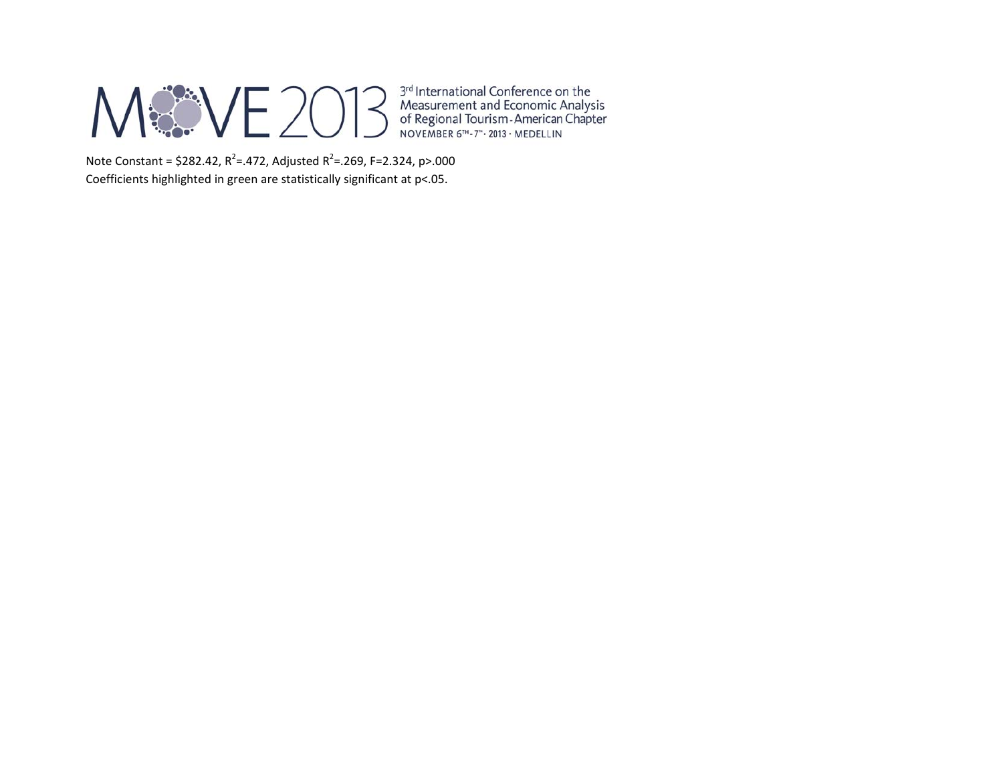## M&VE2013

3<sup>rd</sup> International Conference on the<br>Measurement and Economic Analysis<br>of Regional Tourism - American Chapter<br>NOVEMBER 6<sup>TH</sup> - 7<sup>th</sup> - 2013 - MEDELLIN

Note Constant = \$282.42, R<sup>2</sup>=.472, Adjusted R<sup>2</sup>=.269, F=2.324, p>.000 Coefficients highlighted in green are statistically significant at p<.05.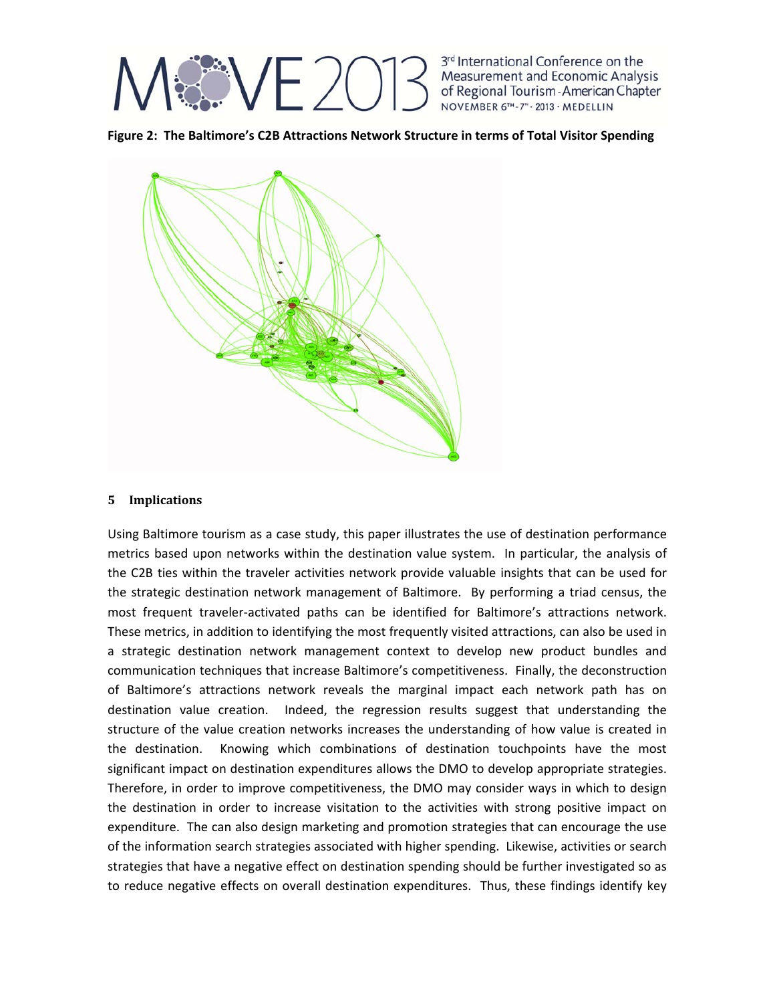

**Figure 2: The Baltimore's C2B Attractions Network Structure in terms of Total Visitor Spending**



### **5 Implications**

Using Baltimore tourism as a case study, this paper illustrates the use of destination performance metrics based upon networks within the destination value system. In particular, the analysis of the C2B ties within the traveler activities network provide valuable insights that can be used for the strategic destination network management of Baltimore. By performing a triad census, the most frequent traveler‐activated paths can be identified for Baltimore's attractions network. These metrics, in addition to identifying the most frequently visited attractions, can also be used in a strategic destination network management context to develop new product bundles and communication techniques that increase Baltimore's competitiveness. Finally, the deconstruction of Baltimore's attractions network reveals the marginal impact each network path has on destination value creation. Indeed, the regression results suggest that understanding the structure of the value creation networks increases the understanding of how value is created in the destination. Knowing which combinations of destination touchpoints have the most significant impact on destination expenditures allows the DMO to develop appropriate strategies. Therefore, in order to improve competitiveness, the DMO may consider ways in which to design the destination in order to increase visitation to the activities with strong positive impact on expenditure. The can also design marketing and promotion strategies that can encourage the use of the information search strategies associated with higher spending. Likewise, activities or search strategies that have a negative effect on destination spending should be further investigated so as to reduce negative effects on overall destination expenditures. Thus, these findings identify key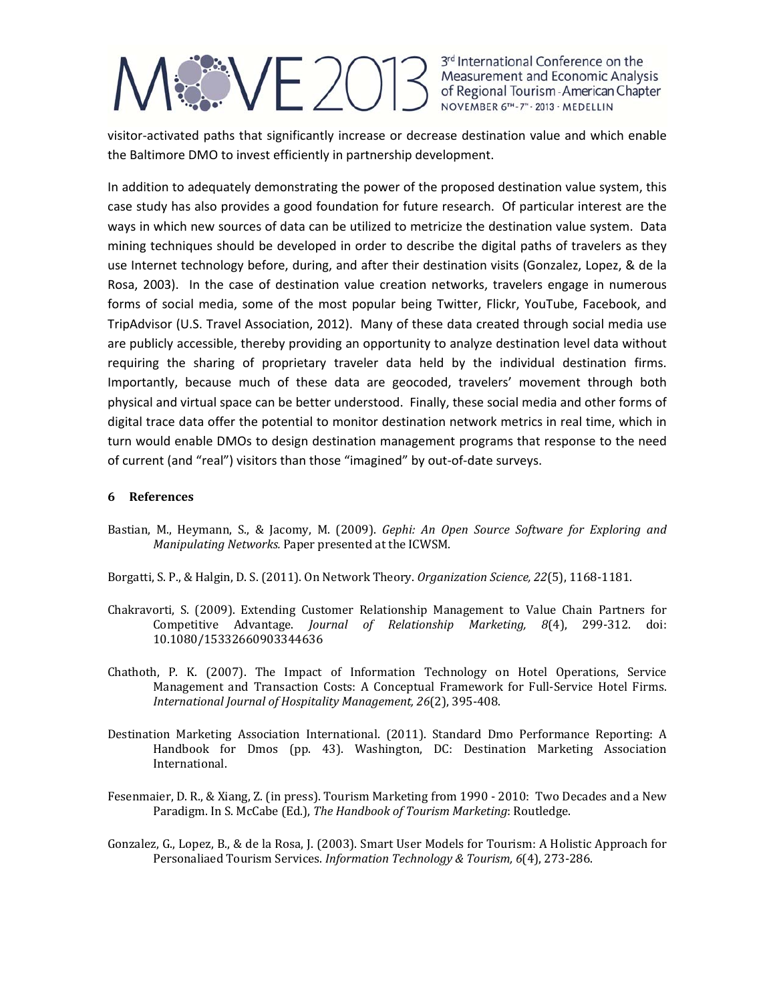# *SSVE 201*

3rd International Conference on the Measurement and Economic Analysis of Regional Tourism - American Chapter NOVEMBER 6TH-7" . 2013 . MEDELLIN

visitor‐activated paths that significantly increase or decrease destination value and which enable the Baltimore DMO to invest efficiently in partnership development.

In addition to adequately demonstrating the power of the proposed destination value system, this case study has also provides a good foundation for future research. Of particular interest are the ways in which new sources of data can be utilized to metricize the destination value system. Data mining techniques should be developed in order to describe the digital paths of travelers as they use Internet technology before, during, and after their destination visits (Gonzalez, Lopez, & de la Rosa, 2003). In the case of destination value creation networks, travelers engage in numerous forms of social media, some of the most popular being Twitter, Flickr, YouTube, Facebook, and TripAdvisor (U.S. Travel Association, 2012). Many of these data created through social media use are publicly accessible, thereby providing an opportunity to analyze destination level data without requiring the sharing of proprietary traveler data held by the individual destination firms. Importantly, because much of these data are geocoded, travelers' movement through both physical and virtual space can be better understood. Finally, these social media and other forms of digital trace data offer the potential to monitor destination network metrics in real time, which in turn would enable DMOs to design destination management programs that response to the need of current (and "real") visitors than those "imagined" by out‐of‐date surveys.

### **6 References**

Bastian, M., Heymann, S., & Jacomy, M. (2009). *Gephi: An Open Source Software for Exploring and Manipulating Networks.* Paper presented at the ICWSM.

Borgatti, S. P., & Halgin, D. S. (2011). On Network Theory. Organization Science, 22(5), 1168-1181.

- Chakravorti, S. (2009). Extending Customer Relationship Management to Value Chain Partners for Competitive Advantage. *Journal of Relationship Marketing, 8*(4), 299‐312. doi: 10.1080/15332660903344636
- Chathoth, P. K. (2007). The Impact of Information Technology on Hotel Operations, Service Management and Transaction Costs: A Conceptual Framework for Full-Service Hotel Firms. *International Journal of Hospitality Management, 26*(2), 395‐408.
- Destination Marketing Association International. (2011). Standard Dmo Performance Reporting: A Handbook for Dmos (pp. 43). Washington, DC: Destination Marketing Association International.
- Fesenmaier, D. R., & Xiang, Z. (in press). Tourism Marketing from 1990 2010: Two Decades and a New Paradigm. In S. McCabe (Ed.), *The Handbook of Tourism Marketing*: Routledge.
- Gonzalez, G., Lopez, B., & de la Rosa, J. (2003). Smart User Models for Tourism: A Holistic Approach for Personaliaed Tourism Services. *Information Technology & Tourism, 6*(4), 273‐286.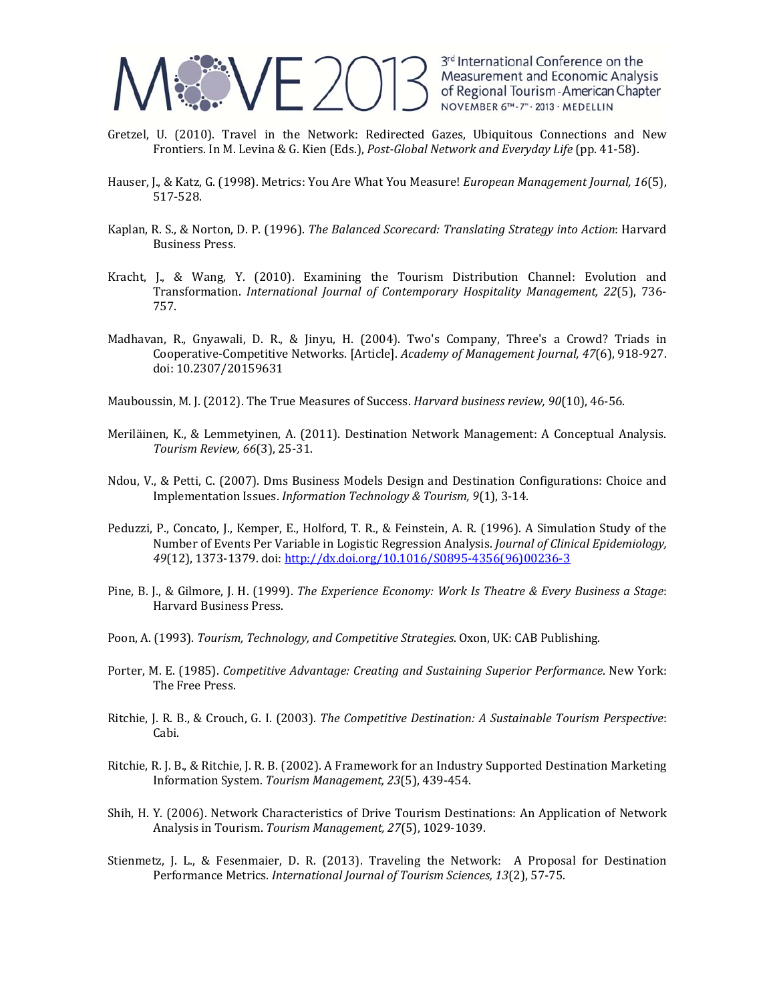

- Gretzel, U. (2010). Travel in the Network: Redirected Gazes, Ubiquitous Connections and New Frontiers. In M. Levina & G. Kien (Eds.), *Post‐Global Network and Everyday Life* (pp. 41‐58).
- Hauser, J., & Katz, G. (1998). Metrics: You Are What You Measure! *European Management Journal, 16*(5), 517‐528.
- Kaplan, R. S., & Norton, D. P. (1996). *The Balanced Scorecard: Translating Strategy into Action*: Harvard **Business Press.**
- Kracht, J., & Wang, Y. (2010). Examining the Tourism Distribution Channel: Evolution and Transformation. *International Journal of Contemporary Hospitality Management, 22*(5), 736‐ 757.
- Madhavan, R., Gnyawali, D. R., & Jinyu, H. (2004). Two's Company, Three's a Crowd? Triads in Cooperative‐Competitive Networks. [Article]. *Academy of Management Journal, 47*(6), 918‐927. doi: 10.2307/20159631

Mauboussin, M. J. (2012). The True Measures of Success. *Harvard business review, 90*(10), 46-56.

- Meriläinen, K., & Lemmetyinen, A. (2011). Destination Network Management: A Conceptual Analysis. *Tourism Review, 66*(3), 25‐31.
- Ndou, V., & Petti, C. (2007). Dms Business Models Design and Destination Configurations: Choice and Implementation Issues. *Information Technology & Tourism, 9*(1), 3‐14.
- Peduzzi, P., Concato, J., Kemper, E., Holford, T. R., & Feinstein, A. R. (1996). A Simulation Study of the Number of Events Per Variable in Logistic Regression Analysis. *Journal of Clinical Epidemiology,* 49(12), 1373-1379. doi: http://dx.doi.org/10.1016/S0895-4356(96)00236-3
- Pine, B. J., & Gilmore, J. H. (1999). *The Experience Economy: Work Is Theatre & Every Business a Stage*: Harvard Business Press.
- Poon, A. (1993). *Tourism, Technology, and Competitive Strategies*. Oxon, UK: CAB Publishing.
- Porter, M. E. (1985). *Competitive Advantage: Creating and Sustaining Superior Performance*. New York: The Free Press.
- Ritchie, J. R. B., & Crouch, G. I. (2003). *The Competitive Destination: A Sustainable Tourism Perspective*: Cabi.
- Ritchie, R. J. B., & Ritchie, J. R. B. (2002). A Framework for an Industry Supported Destination Marketing Information System. *Tourism Management, 23*(5), 439‐454.
- Shih, H. Y. (2006). Network Characteristics of Drive Tourism Destinations: An Application of Network Analysis in Tourism. Tourism Management, 27(5), 1029-1039.
- Stienmetz, J. L., & Fesenmaier, D. R. (2013). Traveling the Network: A Proposal for Destination Performance Metrics. *International Journal of Tourism Sciences, 13*(2), 57‐75.